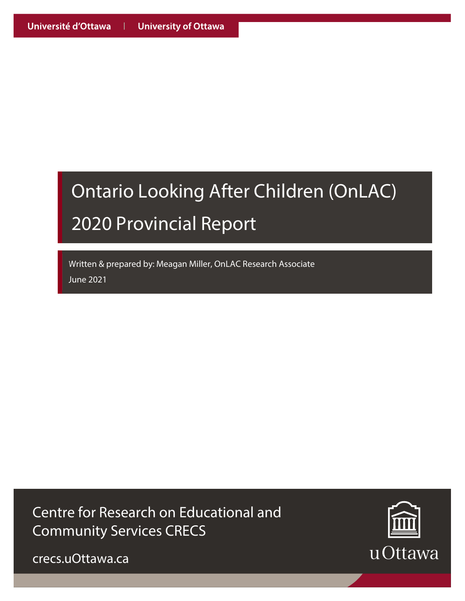# Ontario Looking After Children (OnLAC) 2020 Provincial Report

Written & prepared by: Meagan Miller, OnLAC Research Associate June 2021

Centre for Research on Educational and Community Services CRECS



crecs.uOttawa.ca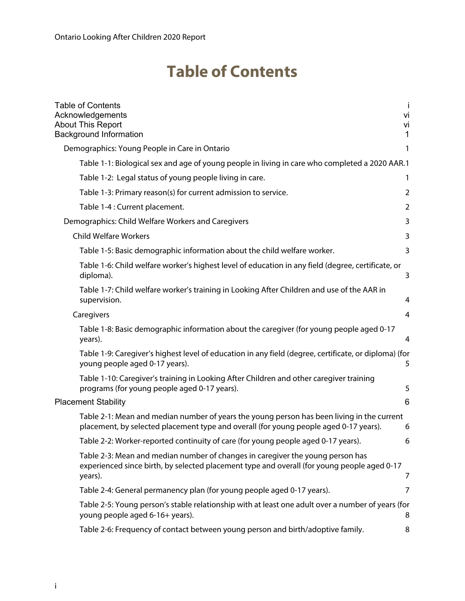### **Table of Contents**

| <b>Table of Contents</b><br>Acknowledgements<br><b>About This Report</b><br><b>Background Information</b>                                                                                | Vİ<br>vi<br>$\mathbf{1}$ |
|------------------------------------------------------------------------------------------------------------------------------------------------------------------------------------------|--------------------------|
| Demographics: Young People in Care in Ontario                                                                                                                                            | 1                        |
| Table 1-1: Biological sex and age of young people in living in care who completed a 2020 AAR.1                                                                                           |                          |
| Table 1-2: Legal status of young people living in care.                                                                                                                                  | 1                        |
| Table 1-3: Primary reason(s) for current admission to service.                                                                                                                           | 2                        |
| Table 1-4 : Current placement.                                                                                                                                                           | 2                        |
| Demographics: Child Welfare Workers and Caregivers                                                                                                                                       | 3                        |
| <b>Child Welfare Workers</b>                                                                                                                                                             | 3                        |
| Table 1-5: Basic demographic information about the child welfare worker.                                                                                                                 | 3                        |
| Table 1-6: Child welfare worker's highest level of education in any field (degree, certificate, or<br>diploma).                                                                          | 3                        |
| Table 1-7: Child welfare worker's training in Looking After Children and use of the AAR in<br>supervision.                                                                               | 4                        |
| Caregivers                                                                                                                                                                               | $\overline{4}$           |
| Table 1-8: Basic demographic information about the caregiver (for young people aged 0-17<br>years).                                                                                      | 4                        |
| Table 1-9: Caregiver's highest level of education in any field (degree, certificate, or diploma) (for<br>young people aged 0-17 years).                                                  | 5                        |
| Table 1-10: Caregiver's training in Looking After Children and other caregiver training<br>programs (for young people aged 0-17 years).                                                  | 5                        |
| <b>Placement Stability</b>                                                                                                                                                               | 6                        |
| Table 2-1: Mean and median number of years the young person has been living in the current<br>placement, by selected placement type and overall (for young people aged 0-17 years).      | 6                        |
| Table 2-2: Worker-reported continuity of care (for young people aged 0-17 years).                                                                                                        | 6                        |
| Table 2-3: Mean and median number of changes in caregiver the young person has<br>experienced since birth, by selected placement type and overall (for young people aged 0-17<br>years). | 7                        |
| Table 2-4: General permanency plan (for young people aged 0-17 years).                                                                                                                   | 7                        |
| Table 2-5: Young person's stable relationship with at least one adult over a number of years (for<br>young people aged 6-16+ years).                                                     | 8                        |
| Table 2-6: Frequency of contact between young person and birth/adoptive family.                                                                                                          | 8                        |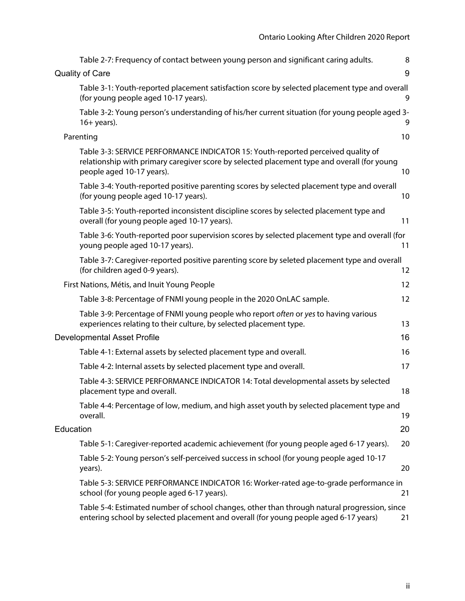|           | Table 2-7: Frequency of contact between young person and significant caring adults.                                                                                                                          | 8  |
|-----------|--------------------------------------------------------------------------------------------------------------------------------------------------------------------------------------------------------------|----|
|           | <b>Quality of Care</b>                                                                                                                                                                                       | 9  |
|           | Table 3-1: Youth-reported placement satisfaction score by selected placement type and overall<br>(for young people aged 10-17 years).                                                                        | 9  |
|           | Table 3-2: Young person's understanding of his/her current situation (for young people aged 3-<br>$16+ years$ ).                                                                                             | 9  |
|           | Parenting                                                                                                                                                                                                    | 10 |
|           | Table 3-3: SERVICE PERFORMANCE INDICATOR 15: Youth-reported perceived quality of<br>relationship with primary caregiver score by selected placement type and overall (for young<br>people aged 10-17 years). | 10 |
|           | Table 3-4: Youth-reported positive parenting scores by selected placement type and overall<br>(for young people aged 10-17 years).                                                                           | 10 |
|           | Table 3-5: Youth-reported inconsistent discipline scores by selected placement type and<br>overall (for young people aged 10-17 years).                                                                      | 11 |
|           | Table 3-6: Youth-reported poor supervision scores by selected placement type and overall (for<br>young people aged 10-17 years).                                                                             | 11 |
|           | Table 3-7: Caregiver-reported positive parenting score by seleted placement type and overall<br>(for children aged 0-9 years).                                                                               | 12 |
|           | First Nations, Métis, and Inuit Young People                                                                                                                                                                 | 12 |
|           | Table 3-8: Percentage of FNMI young people in the 2020 OnLAC sample.                                                                                                                                         | 12 |
|           | Table 3-9: Percentage of FNMI young people who report often or yes to having various<br>experiences relating to their culture, by selected placement type.                                                   | 13 |
|           | <b>Developmental Asset Profile</b>                                                                                                                                                                           | 16 |
|           | Table 4-1: External assets by selected placement type and overall.                                                                                                                                           | 16 |
|           | Table 4-2: Internal assets by selected placement type and overall.                                                                                                                                           | 17 |
|           | Table 4-3: SERVICE PERFORMANCE INDICATOR 14: Total developmental assets by selected<br>placement type and overall.                                                                                           | 18 |
|           | Table 4-4: Percentage of low, medium, and high asset youth by selected placement type and<br>overall.                                                                                                        | 19 |
| Education |                                                                                                                                                                                                              | 20 |
|           | Table 5-1: Caregiver-reported academic achievement (for young people aged 6-17 years).                                                                                                                       | 20 |
|           | Table 5-2: Young person's self-perceived success in school (for young people aged 10-17<br>years).                                                                                                           | 20 |
|           | Table 5-3: SERVICE PERFORMANCE INDICATOR 16: Worker-rated age-to-grade performance in<br>school (for young people aged 6-17 years).                                                                          | 21 |
|           | Table 5-4: Estimated number of school changes, other than through natural progression, since<br>entering school by selected placement and overall (for young people aged 6-17 years)                         | 21 |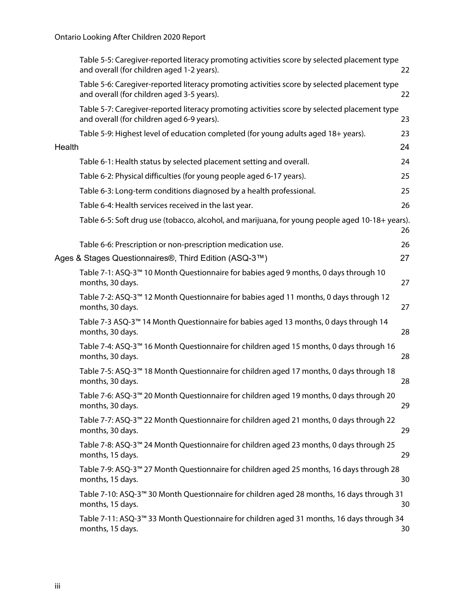|        | Table 5-5: Caregiver-reported literacy promoting activities score by selected placement type<br>and overall (for children aged 1-2 years). | 22 |
|--------|--------------------------------------------------------------------------------------------------------------------------------------------|----|
|        | Table 5-6: Caregiver-reported literacy promoting activities score by selected placement type<br>and overall (for children aged 3-5 years). | 22 |
|        | Table 5-7: Caregiver-reported literacy promoting activities score by selected placement type<br>and overall (for children aged 6-9 years). | 23 |
|        | Table 5-9: Highest level of education completed (for young adults aged 18+ years).                                                         | 23 |
| Health |                                                                                                                                            | 24 |
|        | Table 6-1: Health status by selected placement setting and overall.                                                                        | 24 |
|        | Table 6-2: Physical difficulties (for young people aged 6-17 years).                                                                       | 25 |
|        | Table 6-3: Long-term conditions diagnosed by a health professional.                                                                        | 25 |
|        | Table 6-4: Health services received in the last year.                                                                                      | 26 |
|        | Table 6-5: Soft drug use (tobacco, alcohol, and marijuana, for young people aged 10-18+ years).                                            | 26 |
|        | Table 6-6: Prescription or non-prescription medication use.                                                                                | 26 |
|        | Ages & Stages Questionnaires®, Third Edition (ASQ-3™)                                                                                      | 27 |
|        | Table 7-1: ASQ-3™ 10 Month Questionnaire for babies aged 9 months, 0 days through 10<br>months, 30 days.                                   | 27 |
|        | Table 7-2: ASQ-3 <sup>™</sup> 12 Month Questionnaire for babies aged 11 months, 0 days through 12<br>months, 30 days.                      | 27 |
|        | Table 7-3 ASQ-3™ 14 Month Questionnaire for babies aged 13 months, 0 days through 14<br>months, 30 days.                                   | 28 |
|        | Table 7-4: ASQ-3™ 16 Month Questionnaire for children aged 15 months, 0 days through 16<br>months, 30 days.                                | 28 |
|        | Table 7-5: ASQ-3™ 18 Month Questionnaire for children aged 17 months, 0 days through 18<br>months, 30 days.                                | 28 |
|        | Table 7-6: ASQ-3™ 20 Month Questionnaire for children aged 19 months, 0 days through 20<br>months, 30 days.                                | 29 |
|        | Table 7-7: ASQ-3™ 22 Month Questionnaire for children aged 21 months, 0 days through 22<br>months, 30 days.                                | 29 |
|        | Table 7-8: ASQ-3™ 24 Month Questionnaire for children aged 23 months, 0 days through 25<br>months, 15 days.                                | 29 |
|        | Table 7-9: ASQ-3™ 27 Month Questionnaire for children aged 25 months, 16 days through 28<br>months, 15 days.                               | 30 |
|        | Table 7-10: ASQ-3™ 30 Month Questionnaire for children aged 28 months, 16 days through 31<br>months, 15 days.                              | 30 |
|        | Table 7-11: ASQ-3 <sup>™</sup> 33 Month Questionnaire for children aged 31 months, 16 days through 34<br>months, 15 days.                  | 30 |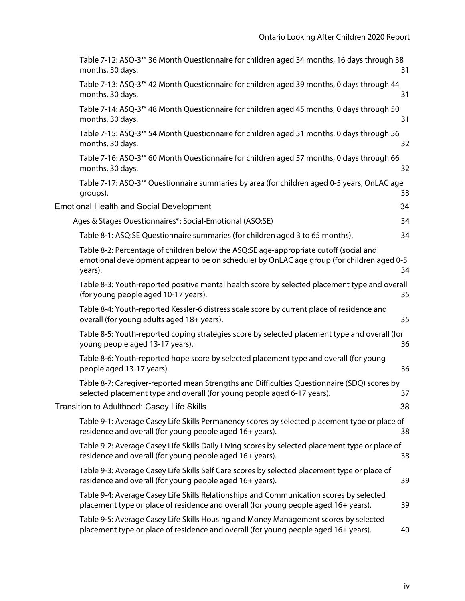| Table 7-12: ASQ-3 <sup>™</sup> 36 Month Questionnaire for children aged 34 months, 16 days through 38<br>months, 30 days.                                                                     | 31 |
|-----------------------------------------------------------------------------------------------------------------------------------------------------------------------------------------------|----|
| Table 7-13: ASQ-3 <sup>™</sup> 42 Month Questionnaire for children aged 39 months, 0 days through 44<br>months, 30 days.                                                                      | 31 |
| Table 7-14: ASQ-3™ 48 Month Questionnaire for children aged 45 months, 0 days through 50<br>months, 30 days.                                                                                  | 31 |
| Table 7-15: ASQ-3 <sup>™</sup> 54 Month Questionnaire for children aged 51 months, 0 days through 56<br>months, 30 days.                                                                      | 32 |
| Table 7-16: ASQ-3™ 60 Month Questionnaire for children aged 57 months, 0 days through 66<br>months, 30 days.                                                                                  | 32 |
| Table 7-17: ASQ-3 <sup>™</sup> Questionnaire summaries by area (for children aged 0-5 years, OnLAC age<br>groups).                                                                            | 33 |
| <b>Emotional Health and Social Development</b>                                                                                                                                                | 34 |
| Ages & Stages Questionnaires®: Social-Emotional (ASQ:SE)                                                                                                                                      | 34 |
| Table 8-1: ASQ:SE Questionnaire summaries (for children aged 3 to 65 months).                                                                                                                 | 34 |
| Table 8-2: Percentage of children below the ASQ:SE age-appropriate cutoff (social and<br>emotional development appear to be on schedule) by OnLAC age group (for children aged 0-5<br>years). | 34 |
| Table 8-3: Youth-reported positive mental health score by selected placement type and overall<br>(for young people aged 10-17 years).                                                         | 35 |
| Table 8-4: Youth-reported Kessler-6 distress scale score by current place of residence and<br>overall (for young adults aged 18+ years).                                                      | 35 |
| Table 8-5: Youth-reported coping strategies score by selected placement type and overall (for<br>young people aged 13-17 years).                                                              | 36 |
| Table 8-6: Youth-reported hope score by selected placement type and overall (for young<br>people aged 13-17 years).                                                                           | 36 |
| Table 8-7: Caregiver-reported mean Strengths and Difficulties Questionnaire (SDQ) scores by<br>selected placement type and overall (for young people aged 6-17 years).                        | 37 |
| Transition to Adulthood: Casey Life Skills                                                                                                                                                    | 38 |
| Table 9-1: Average Casey Life Skills Permanency scores by selected placement type or place of<br>residence and overall (for young people aged 16+ years).                                     | 38 |
| Table 9-2: Average Casey Life Skills Daily Living scores by selected placement type or place of<br>residence and overall (for young people aged 16+ years).                                   | 38 |
| Table 9-3: Average Casey Life Skills Self Care scores by selected placement type or place of<br>residence and overall (for young people aged 16+ years).                                      | 39 |
| Table 9-4: Average Casey Life Skills Relationships and Communication scores by selected<br>placement type or place of residence and overall (for young people aged 16+ years).                | 39 |
| Table 9-5: Average Casey Life Skills Housing and Money Management scores by selected<br>placement type or place of residence and overall (for young people aged 16+ years).                   | 40 |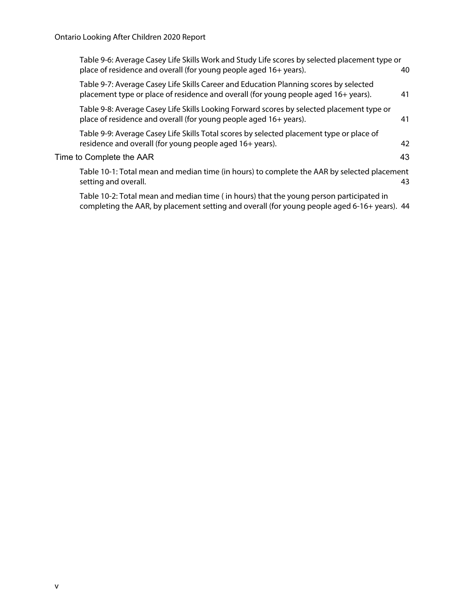| Table 9-6: Average Casey Life Skills Work and Study Life scores by selected placement type or<br>place of residence and overall (for young people aged 16+ years).                      | 40 |
|-----------------------------------------------------------------------------------------------------------------------------------------------------------------------------------------|----|
| Table 9-7: Average Casey Life Skills Career and Education Planning scores by selected<br>placement type or place of residence and overall (for young people aged 16+ years).            | 41 |
| Table 9-8: Average Casey Life Skills Looking Forward scores by selected placement type or<br>place of residence and overall (for young people aged 16+ years).                          | 41 |
| Table 9-9: Average Casey Life Skills Total scores by selected placement type or place of<br>residence and overall (for young people aged 16+ years).                                    | 42 |
| Time to Complete the AAR                                                                                                                                                                | 43 |
| Table 10-1: Total mean and median time (in hours) to complete the AAR by selected placement<br>setting and overall.                                                                     | 43 |
| Table 10-2: Total mean and median time (in hours) that the young person participated in<br>completing the AAR, by placement setting and overall (for young people aged 6-16+ years). 44 |    |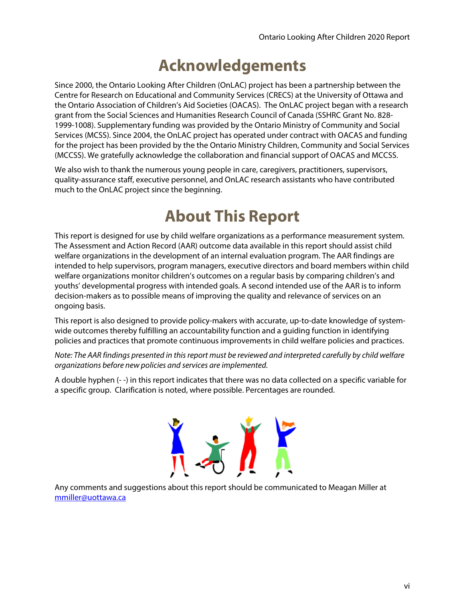## **Acknowledgements**

Since 2000, the Ontario Looking After Children (OnLAC) project has been a partnership between the Centre for Research on Educational and Community Services (CRECS) at the University of Ottawa and the Ontario Association of Children's Aid Societies (OACAS). The OnLAC project began with a research grant from the Social Sciences and Humanities Research Council of Canada (SSHRC Grant No. 828- 1999-1008). Supplementary funding was provided by the Ontario Ministry of Community and Social Services (MCSS). Since 2004, the OnLAC project has operated under contract with OACAS and funding for the project has been provided by the the Ontario Ministry Children, Community and Social Services (MCCSS). We gratefully acknowledge the collaboration and financial support of OACAS and MCCSS.

We also wish to thank the numerous young people in care, caregivers, practitioners, supervisors, quality-assurance staff, executive personnel, and OnLAC research assistants who have contributed much to the OnLAC project since the beginning.

### **About This Report**

This report is designed for use by child welfare organizations as a performance measurement system. The Assessment and Action Record (AAR) outcome data available in this report should assist child welfare organizations in the development of an internal evaluation program. The AAR findings are intended to help supervisors, program managers, executive directors and board members within child welfare organizations monitor children's outcomes on a regular basis by comparing children's and youths' developmental progress with intended goals. A second intended use of the AAR is to inform decision-makers as to possible means of improving the quality and relevance of services on an ongoing basis.

This report is also designed to provide policy-makers with accurate, up-to-date knowledge of systemwide outcomes thereby fulfilling an accountability function and a guiding function in identifying policies and practices that promote continuous improvements in child welfare policies and practices.

Note: The AAR findings presented in this report must be reviewed and interpreted carefully by child welfare organizations before new policies and services are implemented.

A double hyphen (- -) in this report indicates that there was no data collected on a specific variable for a specific group. Clarification is noted, where possible. Percentages are rounded.



Any comments and suggestions about this report should be communicated to Meagan Miller at mmiller@uottawa.ca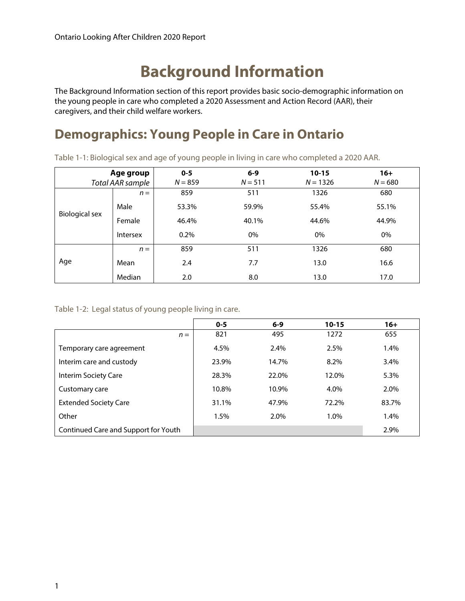### **Background Information**

The Background Information section of this report provides basic socio-demographic information on the young people in care who completed a 2020 Assessment and Action Record (AAR), their caregivers, and their child welfare workers.

### **Demographics: Young People in Care in Ontario**

Table 1-1: Biological sex and age of young people in living in care who completed a 2020 AAR.

| Age group<br>Total AAR sample |                 | $0 - 5$<br>$N = 859$ | $6 - 9$<br>$N = 511$ | $10 - 15$<br>$N = 1326$ | $16+$<br>$N = 680$ |
|-------------------------------|-----------------|----------------------|----------------------|-------------------------|--------------------|
|                               | $n =$           | 859                  | 511                  | 1326                    | 680                |
|                               | Male            | 53.3%                | 59.9%                | 55.4%                   | 55.1%              |
| <b>Biological sex</b>         | Female          | 46.4%                | 40.1%                | 44.6%                   | 44.9%              |
|                               | <b>Intersex</b> | 0.2%                 | $0\%$                | 0%                      | 0%                 |
|                               | $n =$           | 859                  | 511                  | 1326                    | 680                |
| Age                           | Mean            | 2.4                  | 7.7                  | 13.0                    | 16.6               |
|                               | Median          | 2.0                  | 8.0                  | 13.0                    | 17.0               |

Table 1-2: Legal status of young people living in care.

|                                      | $0 - 5$ | $6 - 9$ | $10 - 15$ | $16+$ |
|--------------------------------------|---------|---------|-----------|-------|
| $n =$                                | 821     | 495     | 1272      | 655   |
| Temporary care agreement             | 4.5%    | 2.4%    | 2.5%      | 1.4%  |
| Interim care and custody             | 23.9%   | 14.7%   | 8.2%      | 3.4%  |
| Interim Society Care                 | 28.3%   | 22.0%   | 12.0%     | 5.3%  |
| Customary care                       | 10.8%   | 10.9%   | 4.0%      | 2.0%  |
| <b>Extended Society Care</b>         | 31.1%   | 47.9%   | 72.2%     | 83.7% |
| Other                                | 1.5%    | 2.0%    | 1.0%      | 1.4%  |
| Continued Care and Support for Youth |         |         |           | 2.9%  |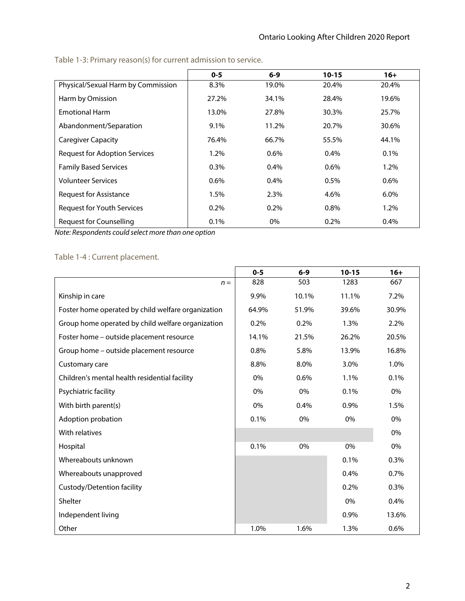|                                      | $0 - 5$ | $6 - 9$ | $10 - 15$ | $16+$   |
|--------------------------------------|---------|---------|-----------|---------|
| Physical/Sexual Harm by Commission   | 8.3%    | 19.0%   | 20.4%     | 20.4%   |
| Harm by Omission                     | 27.2%   | 34.1%   | 28.4%     | 19.6%   |
| <b>Emotional Harm</b>                | 13.0%   | 27.8%   | 30.3%     | 25.7%   |
| Abandonment/Separation               | 9.1%    | 11.2%   | 20.7%     | 30.6%   |
| <b>Caregiver Capacity</b>            | 76.4%   | 66.7%   | 55.5%     | 44.1%   |
| <b>Request for Adoption Services</b> | 1.2%    | $0.6\%$ | 0.4%      | 0.1%    |
| <b>Family Based Services</b>         | $0.3\%$ | $0.4\%$ | 0.6%      | 1.2%    |
| <b>Volunteer Services</b>            | 0.6%    | 0.4%    | 0.5%      | 0.6%    |
| Request for Assistance               | 1.5%    | 2.3%    | 4.6%      | $6.0\%$ |
| Request for Youth Services           | 0.2%    | 0.2%    | 0.8%      | 1.2%    |
| <b>Request for Counselling</b>       | 0.1%    | 0%      | 0.2%      | 0.4%    |

Table 1-3: Primary reason(s) for current admission to service.

Note: Respondents could select more than one option

#### Table 1-4 : Current placement.

|                                                    | $0 - 5$ | $6-9$ | $10 - 15$ | $16+$ |
|----------------------------------------------------|---------|-------|-----------|-------|
| $n =$                                              | 828     | 503   | 1283      | 667   |
| Kinship in care                                    | 9.9%    | 10.1% | 11.1%     | 7.2%  |
| Foster home operated by child welfare organization | 64.9%   | 51.9% | 39.6%     | 30.9% |
| Group home operated by child welfare organization  | 0.2%    | 0.2%  | 1.3%      | 2.2%  |
| Foster home - outside placement resource           | 14.1%   | 21.5% | 26.2%     | 20.5% |
| Group home - outside placement resource            | 0.8%    | 5.8%  | 13.9%     | 16.8% |
| Customary care                                     | 8.8%    | 8.0%  | 3.0%      | 1.0%  |
| Children's mental health residential facility      | 0%      | 0.6%  | 1.1%      | 0.1%  |
| Psychiatric facility                               | 0%      | 0%    | 0.1%      | 0%    |
| With birth parent(s)                               | 0%      | 0.4%  | 0.9%      | 1.5%  |
| Adoption probation                                 | 0.1%    | 0%    | 0%        | 0%    |
| With relatives                                     |         |       |           | 0%    |
| Hospital                                           | 0.1%    | 0%    | 0%        | 0%    |
| Whereabouts unknown                                |         |       | 0.1%      | 0.3%  |
| Whereabouts unapproved                             |         |       | 0.4%      | 0.7%  |
| Custody/Detention facility                         |         |       | 0.2%      | 0.3%  |
| Shelter                                            |         |       | 0%        | 0.4%  |
| Independent living                                 |         |       | 0.9%      | 13.6% |
| Other                                              | 1.0%    | 1.6%  | 1.3%      | 0.6%  |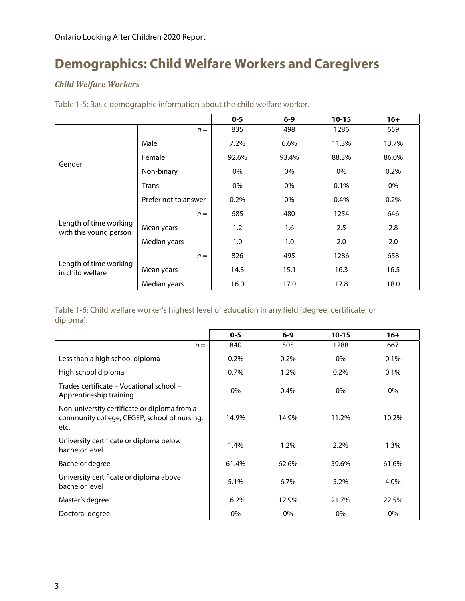### **Demographics: Child Welfare Workers and Caregivers**

#### *Child Welfare Workers*

|                                                  |                      | $0 - 5$ | $6 - 9$ | $10 - 15$ | $16+$ |
|--------------------------------------------------|----------------------|---------|---------|-----------|-------|
|                                                  | $n =$                | 835     | 498     | 1286      | 659   |
|                                                  | Male                 | 7.2%    | 6.6%    | 11.3%     | 13.7% |
| Gender                                           | Female               | 92.6%   | 93.4%   | 88.3%     | 86.0% |
|                                                  | Non-binary           | 0%      | 0%      | 0%        | 0.2%  |
|                                                  | <b>Trans</b>         | 0%      | 0%      | 0.1%      | 0%    |
|                                                  | Prefer not to answer | 0.2%    | 0%      | 0.4%      | 0.2%  |
|                                                  | $n =$                | 685     | 480     | 1254      | 646   |
| Length of time working<br>with this young person | Mean years           | 1.2     | 1.6     | 2.5       | 2.8   |
|                                                  | Median years         | 1.0     | 1.0     | 2.0       | 2.0   |
|                                                  | $n =$                | 826     | 495     | 1286      | 658   |
| Length of time working<br>in child welfare       | Mean years           | 14.3    | 15.1    | 16.3      | 16.5  |
|                                                  | Median years         | 16.0    | 17.0    | 17.8      | 18.0  |

Table 1-5: Basic demographic information about the child welfare worker.

Table 1-6: Child welfare worker's highest level of education in any field (degree, certificate, or diploma).

|                                                                                                      | $0 - 5$ | $6 - 9$ | $10 - 15$ | $16+$ |
|------------------------------------------------------------------------------------------------------|---------|---------|-----------|-------|
| $n =$                                                                                                | 840     | 505     | 1288      | 667   |
| Less than a high school diploma                                                                      | 0.2%    | 0.2%    | 0%        | 0.1%  |
| High school diploma                                                                                  | 0.7%    | 1.2%    | 0.2%      | 0.1%  |
| Trades certificate – Vocational school –<br>Apprenticeship training                                  | 0%      | 0.4%    | 0%        | $0\%$ |
| Non-university certificate or diploma from a<br>community college, CEGEP, school of nursing,<br>etc. | 14.9%   | 14.9%   | 11.2%     | 10.2% |
| University certificate or diploma below<br>bachelor level                                            | 1.4%    | 1.2%    | 2.2%      | 1.3%  |
| Bachelor degree                                                                                      | 61.4%   | 62.6%   | 59.6%     | 61.6% |
| University certificate or diploma above<br>bachelor level                                            | 5.1%    | 6.7%    | 5.2%      | 4.0%  |
| Master's degree                                                                                      | 16.2%   | 12.9%   | 21.7%     | 22.5% |
| Doctoral degree                                                                                      | 0%      | $0\%$   | 0%        | 0%    |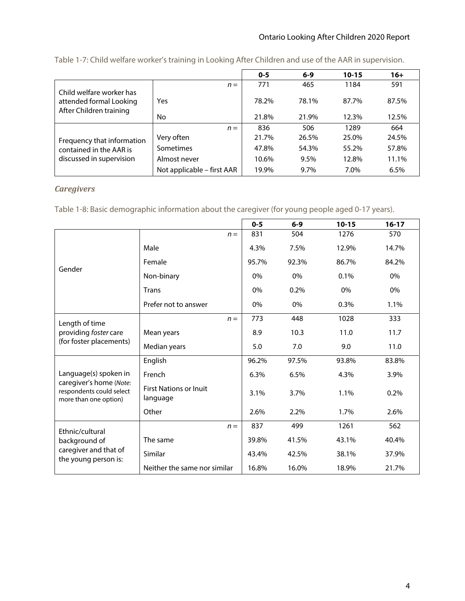|                                                                                |                            | $0 - 5$ | $6 - 9$ | $10 - 15$ | $16+$ |
|--------------------------------------------------------------------------------|----------------------------|---------|---------|-----------|-------|
|                                                                                | $n =$                      | 771     | 465     | 1184      | 591   |
| Child welfare worker has<br>attended formal Looking<br>After Children training | Yes                        | 78.2%   | 78.1%   | 87.7%     | 87.5% |
|                                                                                | No                         | 21.8%   | 21.9%   | 12.3%     | 12.5% |
|                                                                                | $n =$                      | 836     | 506     | 1289      | 664   |
| Frequency that information                                                     | Very often                 | 21.7%   | 26.5%   | 25.0%     | 24.5% |
| contained in the AAR is                                                        | Sometimes                  | 47.8%   | 54.3%   | 55.2%     | 57.8% |
| discussed in supervision                                                       | Almost never               | 10.6%   | 9.5%    | 12.8%     | 11.1% |
|                                                                                | Not applicable – first AAR | 19.9%   | 9.7%    | 7.0%      | 6.5%  |

Table 1-7: Child welfare worker's training in Looking After Children and use of the AAR in supervision.

#### *Caregivers*

Table 1-8: Basic demographic information about the caregiver (for young people aged 0-17 years).

|                                                                              |                                           |       | $0 - 5$ | $6-9$ | $10 - 15$ | $16 - 17$ |
|------------------------------------------------------------------------------|-------------------------------------------|-------|---------|-------|-----------|-----------|
|                                                                              |                                           | $n =$ | 831     | 504   | 1276      | 570       |
|                                                                              | Male                                      |       | 4.3%    | 7.5%  | 12.9%     | 14.7%     |
| Gender                                                                       | Female                                    |       | 95.7%   | 92.3% | 86.7%     | 84.2%     |
|                                                                              | Non-binary                                |       | $0\%$   | 0%    | 0.1%      | 0%        |
|                                                                              | Trans                                     |       | 0%      | 0.2%  | 0%        | 0%        |
|                                                                              | Prefer not to answer                      |       | $0\%$   | 0%    | 0.3%      | 1.1%      |
| Length of time                                                               |                                           | $n =$ | 773     | 448   | 1028      | 333       |
| providing foster care                                                        | Mean years                                |       | 8.9     | 10.3  | 11.0      | 11.7      |
| (for foster placements)                                                      | Median years                              |       | 5.0     | 7.0   | 9.0       | 11.0      |
|                                                                              | English                                   |       | 96.2%   | 97.5% | 93.8%     | 83.8%     |
| Language(s) spoken in                                                        | French                                    |       | 6.3%    | 6.5%  | 4.3%      | 3.9%      |
| caregiver's home (Note:<br>respondents could select<br>more than one option) | <b>First Nations or Inuit</b><br>language |       | 3.1%    | 3.7%  | 1.1%      | 0.2%      |
|                                                                              | Other                                     |       | 2.6%    | 2.2%  | 1.7%      | 2.6%      |
| Ethnic/cultural                                                              |                                           | $n =$ | 837     | 499   | 1261      | 562       |
| background of<br>caregiver and that of<br>the young person is:               | The same                                  |       | 39.8%   | 41.5% | 43.1%     | 40.4%     |
|                                                                              | Similar                                   |       | 43.4%   | 42.5% | 38.1%     | 37.9%     |
|                                                                              | Neither the same nor similar              |       | 16.8%   | 16.0% | 18.9%     | 21.7%     |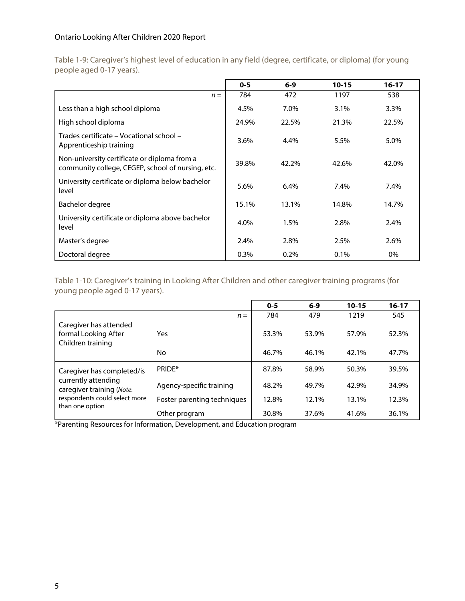Table 1-9: Caregiver's highest level of education in any field (degree, certificate, or diploma) (for young people aged 0-17 years).

|                                                                                                   | $0 - 5$ | $6-9$   | $10 - 15$ | $16 - 17$ |
|---------------------------------------------------------------------------------------------------|---------|---------|-----------|-----------|
| $n =$                                                                                             | 784     | 472     | 1197      | 538       |
| Less than a high school diploma                                                                   | 4.5%    | 7.0%    | 3.1%      | 3.3%      |
| High school diploma                                                                               | 24.9%   | 22.5%   | 21.3%     | 22.5%     |
| Trades certificate – Vocational school –<br>Apprenticeship training                               | 3.6%    | 4.4%    | 5.5%      | 5.0%      |
| Non-university certificate or diploma from a<br>community college, CEGEP, school of nursing, etc. | 39.8%   | 42.2%   | 42.6%     | 42.0%     |
| University certificate or diploma below bachelor<br>level                                         | 5.6%    | 6.4%    | 7.4%      | 7.4%      |
| Bachelor degree                                                                                   | 15.1%   | 13.1%   | 14.8%     | 14.7%     |
| University certificate or diploma above bachelor<br>level                                         | 4.0%    | 1.5%    | 2.8%      | 2.4%      |
| Master's degree                                                                                   | 2.4%    | 2.8%    | 2.5%      | 2.6%      |
| Doctoral degree                                                                                   | $0.3\%$ | $0.2\%$ | $0.1\%$   | 0%        |

Table 1-10: Caregiver's training in Looking After Children and other caregiver training programs (for young people aged 0-17 years).

|                                                                     |                             | $0 - 5$ | $6 - 9$ | $10 - 15$ | $16 - 17$ |
|---------------------------------------------------------------------|-----------------------------|---------|---------|-----------|-----------|
|                                                                     | $n =$                       | 784     | 479     | 1219      | 545       |
| Caregiver has attended<br>formal Looking After<br>Children training | Yes                         | 53.3%   | 53.9%   | 57.9%     | 52.3%     |
|                                                                     | No                          | 46.7%   | 46.1%   | 42.1%     | 47.7%     |
| Caregiver has completed/is                                          | PRIDF*                      | 87.8%   | 58.9%   | 50.3%     | 39.5%     |
| currently attending<br>caregiver training (Note:                    | Agency-specific training    | 48.2%   | 49.7%   | 42.9%     | 34.9%     |
| respondents could select more<br>than one option                    | Foster parenting techniques | 12.8%   | 12.1%   | 13.1%     | 12.3%     |
|                                                                     | Other program               | 30.8%   | 37.6%   | 41.6%     | 36.1%     |

\*Parenting Resources for Information, Development, and Education program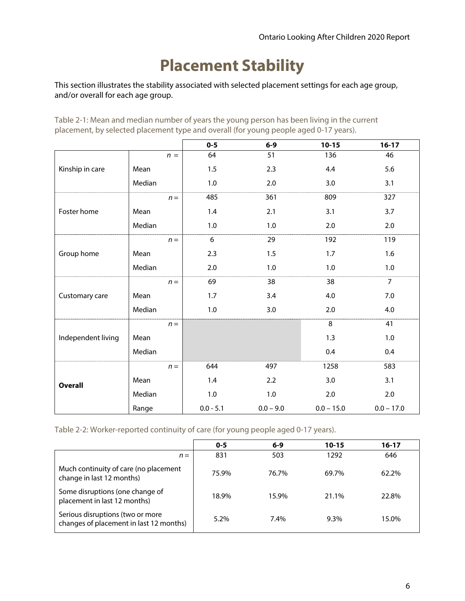# **Placement Stability**

This section illustrates the stability associated with selected placement settings for each age group, and/or overall for each age group.

Table 2-1: Mean and median number of years the young person has been living in the current placement, by selected placement type and overall (for young people aged 0-17 years).

|                    |        | $0 - 5$     | $6-9$       | $10 - 15$    | $16-17$        |
|--------------------|--------|-------------|-------------|--------------|----------------|
|                    | $n =$  | 64          | 51          | 136          | 46             |
| Kinship in care    | Mean   | 1.5         | 2.3         | 4.4          | 5.6            |
|                    | Median | $1.0\,$     | $2.0\,$     | 3.0          | 3.1            |
|                    | $n =$  | 485         | 361         | 809          | 327            |
| Foster home        | Mean   | 1.4         | 2.1         | 3.1          | 3.7            |
|                    | Median | 1.0         | 1.0         | 2.0          | 2.0            |
|                    | $n =$  | 6           | 29          | 192          | 119            |
| Group home         | Mean   | 2.3         | 1.5         | 1.7          | 1.6            |
|                    | Median | 2.0         | 1.0         | 1.0          | 1.0            |
|                    | $n =$  | 69          | 38          | 38           | $\overline{7}$ |
| Customary care     | Mean   | 1.7         | 3.4         | 4.0          | 7.0            |
|                    | Median | 1.0         | 3.0         | 2.0          | 4.0            |
|                    | $n =$  |             |             | 8            | 41             |
| Independent living | Mean   |             |             | 1.3          | 1.0            |
|                    | Median |             |             | 0.4          | 0.4            |
| <b>Overall</b>     | $n =$  | 644         | 497         | 1258         | 583            |
|                    | Mean   | 1.4         | 2.2         | 3.0          | 3.1            |
|                    | Median | 1.0         | $1.0\,$     | 2.0          | 2.0            |
|                    | Range  | $0.0 - 5.1$ | $0.0 - 9.0$ | $0.0 - 15.0$ | $0.0 - 17.0$   |

Table 2-2: Worker-reported continuity of care (for young people aged 0-17 years).

|                                                                             | $0 - 5$ | $6 - 9$ | 10-15   | 16-17 |
|-----------------------------------------------------------------------------|---------|---------|---------|-------|
| $n =$                                                                       | 831     | 503     | 1292    | 646   |
| Much continuity of care (no placement<br>change in last 12 months)          | 75.9%   | 76.7%   | 69.7%   | 62.2% |
| Some disruptions (one change of<br>placement in last 12 months)             | 18.9%   | 15.9%   | 21.1%   | 22.8% |
| Serious disruptions (two or more<br>changes of placement in last 12 months) | $5.2\%$ | $7.4\%$ | $9.3\%$ | 15.0% |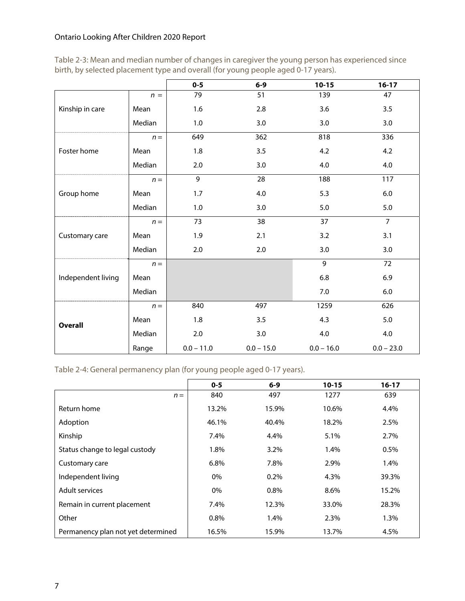Table 2-3: Mean and median number of changes in caregiver the young person has experienced since birth, by selected placement type and overall (for young people aged 0-17 years).

|                    |        | $0 - 5$      | $6-9$        | $10 - 15$    | $16-17$        |
|--------------------|--------|--------------|--------------|--------------|----------------|
|                    | $n =$  | 79           | 51           | 139          | 47             |
| Kinship in care    | Mean   | 1.6          | 2.8          | 3.6          | 3.5            |
|                    | Median | 1.0          | 3.0          | 3.0          | 3.0            |
|                    | $n =$  | 649          | 362          | 818          | 336            |
| Foster home        | Mean   | $1.8\,$      | 3.5          | 4.2          | 4.2            |
|                    | Median | 2.0          | 3.0          | 4.0          | 4.0            |
|                    | $n =$  | 9            | 28           | 188          | 117            |
| Group home         | Mean   | 1.7          | 4.0          | 5.3          | 6.0            |
|                    | Median | 1.0          | 3.0          | 5.0          | 5.0            |
|                    | $n =$  | 73           | 38           | 37           | $\overline{7}$ |
| Customary care     | Mean   | 1.9          | 2.1          | 3.2          | 3.1            |
|                    | Median | 2.0          | 2.0          | 3.0          | 3.0            |
|                    | $n =$  |              |              | 9            | 72             |
| Independent living | Mean   |              |              | 6.8          | 6.9            |
|                    | Median |              |              | 7.0          | 6.0            |
| <b>Overall</b>     | $n =$  | 840          | 497          | 1259         | 626            |
|                    | Mean   | 1.8          | 3.5          | 4.3          | 5.0            |
|                    | Median | 2.0          | 3.0          | 4.0          | 4.0            |
|                    | Range  | $0.0 - 11.0$ | $0.0 - 15.0$ | $0.0 - 16.0$ | $0.0 - 23.0$   |

Table 2-4: General permanency plan (for young people aged 0-17 years).

|                                    | $0 - 5$ | $6-9$ | $10 - 15$ | $16 - 17$ |
|------------------------------------|---------|-------|-----------|-----------|
| $n =$                              | 840     | 497   | 1277      | 639       |
| Return home                        | 13.2%   | 15.9% | 10.6%     | 4.4%      |
| Adoption                           | 46.1%   | 40.4% | 18.2%     | 2.5%      |
| Kinship                            | 7.4%    | 4.4%  | 5.1%      | 2.7%      |
| Status change to legal custody     | 1.8%    | 3.2%  | 1.4%      | 0.5%      |
| Customary care                     | 6.8%    | 7.8%  | 2.9%      | 1.4%      |
| Independent living                 | 0%      | 0.2%  | 4.3%      | 39.3%     |
| Adult services                     | 0%      | 0.8%  | 8.6%      | 15.2%     |
| Remain in current placement        | 7.4%    | 12.3% | 33.0%     | 28.3%     |
| Other                              | 0.8%    | 1.4%  | 2.3%      | 1.3%      |
| Permanency plan not yet determined | 16.5%   | 15.9% | 13.7%     | 4.5%      |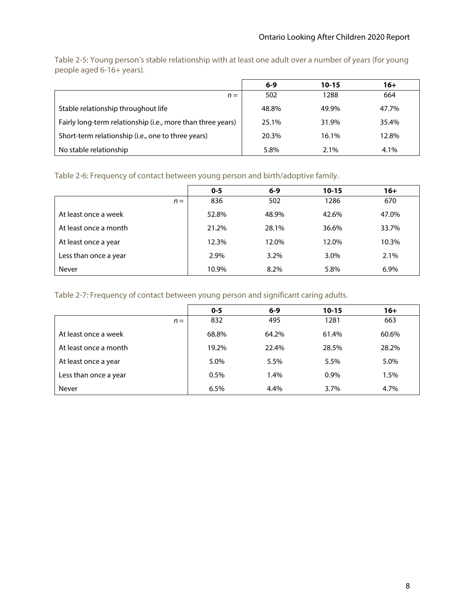Table 2-5: Young person's stable relationship with at least one adult over a number of years (for young people aged 6-16+ years).

|                                                             | $6 - 9$ | $10 - 15$ | $16+$ |
|-------------------------------------------------------------|---------|-----------|-------|
| $n =$                                                       | 502     | 1288      | 664   |
| Stable relationship throughout life                         | 48.8%   | 49.9%     | 47.7% |
| Fairly long-term relationship (i.e., more than three years) | 25.1%   | 31.9%     | 35.4% |
| Short-term relationship (i.e., one to three years)          | 20.3%   | 16.1%     | 12.8% |
| No stable relationship                                      | 5.8%    | $2.1\%$   | 4.1%  |

Table 2-6: Frequency of contact between young person and birth/adoptive family.

|                       | $0 - 5$ | $6 - 9$ | $10 - 15$ | $16+$ |
|-----------------------|---------|---------|-----------|-------|
| $n =$                 | 836     | 502     | 1286      | 670   |
| At least once a week  | 52.8%   | 48.9%   | 42.6%     | 47.0% |
| At least once a month | 21.2%   | 28.1%   | 36.6%     | 33.7% |
| At least once a year  | 12.3%   | 12.0%   | 12.0%     | 10.3% |
| Less than once a year | 2.9%    | 3.2%    | 3.0%      | 2.1%  |
| Never                 | 10.9%   | 8.2%    | 5.8%      | 6.9%  |

Table 2-7: Frequency of contact between young person and significant caring adults.

|                       | $0 - 5$ | $6 - 9$ | $10 - 15$ | $16+$ |
|-----------------------|---------|---------|-----------|-------|
| $n =$                 | 832     | 495     | 1281      | 663   |
| At least once a week  | 68.8%   | 64.2%   | 61.4%     | 60.6% |
| At least once a month | 19.2%   | 22.4%   | 28.5%     | 28.2% |
| At least once a year  | 5.0%    | 5.5%    | 5.5%      | 5.0%  |
| Less than once a year | 0.5%    | 1.4%    | 0.9%      | 1.5%  |
| Never                 | 6.5%    | 4.4%    | 3.7%      | 4.7%  |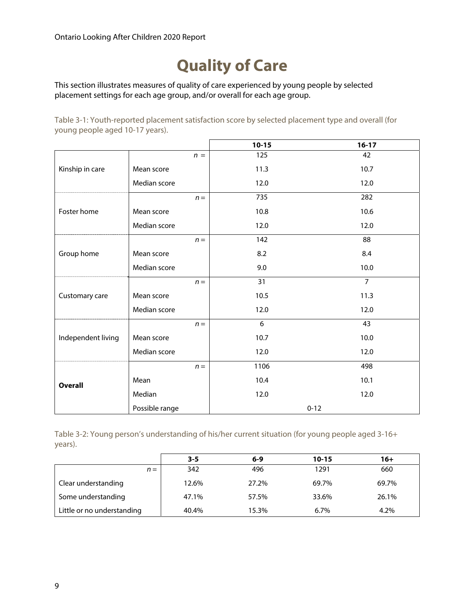### **Quality of Care**

This section illustrates measures of quality of care experienced by young people by selected placement settings for each age group, and/or overall for each age group.

Table 3-1: Youth-reported placement satisfaction score by selected placement type and overall (for young people aged 10-17 years).

|                    |                | $10 - 15$ | $16-17$        |
|--------------------|----------------|-----------|----------------|
|                    | $n =$          | 125       | 42             |
| Kinship in care    | Mean score     | 11.3      | 10.7           |
|                    | Median score   | 12.0      | 12.0           |
|                    | $n =$          | 735       | 282            |
| Foster home        | Mean score     | 10.8      | 10.6           |
|                    | Median score   | 12.0      | 12.0           |
|                    | $n =$          | 142       | 88             |
| Group home         | Mean score     | 8.2       | 8.4            |
|                    | Median score   | 9.0       | 10.0           |
|                    | $n =$          | 31        | $\overline{7}$ |
| Customary care     | Mean score     | 10.5      | 11.3           |
|                    | Median score   | 12.0      | 12.0           |
|                    | $n =$          | 6         | 43             |
| Independent living | Mean score     | 10.7      | 10.0           |
|                    | Median score   | 12.0      | 12.0           |
|                    | $n =$          | 1106      | 498            |
| <b>Overall</b>     | Mean           | 10.4      | 10.1           |
|                    | Median         | 12.0      | 12.0           |
|                    | Possible range |           | $0 - 12$       |

Table 3-2: Young person's understanding of his/her current situation (for young people aged 3-16+ years).

|                            | $3 - 5$ | $6 - 9$ | $10 - 15$ | $16+$ |
|----------------------------|---------|---------|-----------|-------|
| $n =$                      | 342     | 496     | 1291      | 660   |
| Clear understanding        | 12.6%   | 27.2%   | 69.7%     | 69.7% |
| Some understanding         | 47.1%   | 57.5%   | 33.6%     | 26.1% |
| Little or no understanding | 40.4%   | 15.3%   | $6.7\%$   | 4.2%  |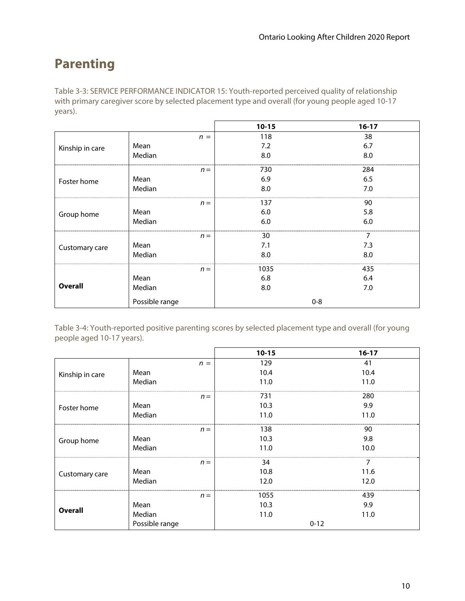### **Parenting**

Table 3-3: SERVICE PERFORMANCE INDICATOR 15: Youth-reported perceived quality of relationship with primary caregiver score by selected placement type and overall (for young people aged 10-17 years).

|                 |                |       | $10 - 15$ | $16 - 17$ |
|-----------------|----------------|-------|-----------|-----------|
|                 |                | $n =$ | 118       | 38        |
| Kinship in care | Mean           |       | 7.2       | 6.7       |
|                 | Median         |       | 8.0       | 8.0       |
|                 |                | $n =$ | 730       | 284       |
| Foster home     | Mean           |       | 6.9       | 6.5       |
|                 | Median         |       | 8.0       | 7.0       |
|                 |                | $n =$ | 137       | 90        |
| Group home      | Mean           |       | 6.0       | 5.8       |
|                 | Median         |       | 6.0       | 6.0       |
|                 |                | $n =$ | 30        | 7         |
| Customary care  | Mean           |       | 7.1       | 7.3       |
|                 | Median         |       | 8.0       | 8.0       |
|                 |                | $n =$ | 1035      | 435       |
| <b>Overall</b>  | Mean           |       | 6.8       | 6.4       |
|                 | Median         |       | 8.0       | 7.0       |
|                 | Possible range |       |           | $0 - 8$   |

Table 3-4: Youth-reported positive parenting scores by selected placement type and overall (for young people aged 10-17 years).

|                 |                | $10 - 15$ | $16-17$  |
|-----------------|----------------|-----------|----------|
|                 | $n =$          | 129       | 41       |
| Kinship in care | Mean           | 10.4      | 10.4     |
|                 | Median         | 11.0      | 11.0     |
|                 | $n =$          | 731       | 280      |
| Foster home     | Mean           | 10.3      | 9.9      |
|                 | Median         | 11.0      | 11.0     |
|                 | $n =$          | 138       | 90       |
| Group home      | Mean           | 10.3      | 9.8      |
|                 | Median         | 11.0      | 10.0     |
|                 | $n =$          | 34        | 7        |
| Customary care  | Mean           | 10.8      | 11.6     |
|                 | Median         | 12.0      | 12.0     |
|                 | $n =$          | 1055      | 439      |
|                 | Mean           | 10.3      | 9.9      |
| <b>Overall</b>  | Median         | 11.0      | 11.0     |
|                 | Possible range |           | $0 - 12$ |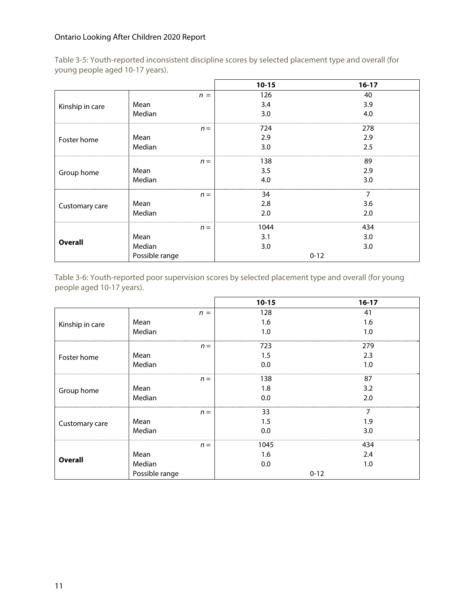|                 |                |       | $10 - 15$ | $16-17$  |
|-----------------|----------------|-------|-----------|----------|
|                 |                | $n =$ | 126       | 40       |
| Kinship in care | Mean           |       | 3.4       | 3.9      |
|                 | Median         |       | 3.0       | 4.0      |
|                 |                | $n =$ | 724       | 278      |
| Foster home     | Mean           |       | 2.9       | 2.9      |
|                 | Median         |       | 3.0       | 2.5      |
|                 |                | $n =$ | 138       | 89       |
| Group home      | Mean           |       | 3.5       | 2.9      |
|                 | Median         |       | 4.0       | 3.0      |
|                 |                | $n =$ | 34        | 7        |
| Customary care  | Mean           |       | 2.8       | 3.6      |
|                 | Median         |       | 2.0       | 2.0      |
| <b>Overall</b>  |                | $n =$ | 1044      | 434      |
|                 | Mean           |       | 3.1       | 3.0      |
|                 | Median         |       | 3.0       | 3.0      |
|                 | Possible range |       |           | $0 - 12$ |

Table 3-5: Youth-reported inconsistent discipline scores by selected placement type and overall (for young people aged 10-17 years).

Table 3-6: Youth-reported poor supervision scores by selected placement type and overall (for young people aged 10-17 years).

|                 |                | $10 - 15$ | $16-17$  |
|-----------------|----------------|-----------|----------|
|                 | $n =$          | 128       | 41       |
| Kinship in care | Mean           | 1.6       | 1.6      |
|                 | Median         | 1.0       | 1.0      |
|                 | $n =$          | 723       | 279      |
| Foster home     | Mean           | 1.5       | 2.3      |
|                 | Median         | 0.0       | 1.0      |
|                 | $n =$          | 138       | 87       |
| Group home      | Mean           | 1.8       | 3.2      |
|                 | Median         | 0.0       | 2.0      |
|                 | $n =$          | 33        | 7        |
| Customary care  | Mean           | 1.5       | 1.9      |
|                 | Median         | 0.0       | 3.0      |
|                 | $n =$          | 1045      | 434      |
|                 | Mean           | 1.6       | 2.4      |
| <b>Overall</b>  | Median         | 0.0       | 1.0      |
|                 | Possible range |           | $0 - 12$ |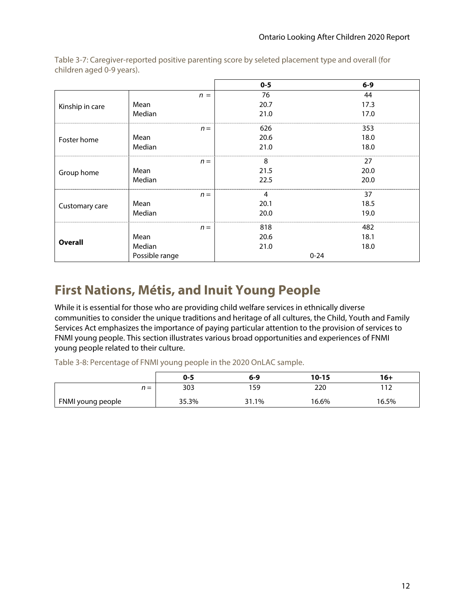|                 |                | $0-5$ | $6-9$    |
|-----------------|----------------|-------|----------|
|                 | $n =$          | 76    | 44       |
| Kinship in care | Mean           | 20.7  | 17.3     |
|                 | Median         | 21.0  | 17.0     |
|                 | $n =$          | 626   | 353      |
| Foster home     | Mean           | 20.6  | 18.0     |
|                 | Median         | 21.0  | 18.0     |
|                 | $n =$          | 8     | 27       |
| Group home      | Mean           | 21.5  | 20.0     |
|                 | Median         | 22.5  | 20.0     |
|                 | $n =$          | 4     | 37       |
| Customary care  | Mean           | 20.1  | 18.5     |
|                 | Median         | 20.0  | 19.0     |
|                 | $n =$          | 818   | 482      |
|                 | Mean           | 20.6  | 18.1     |
| <b>Overall</b>  | Median         | 21.0  | 18.0     |
|                 | Possible range |       | $0 - 24$ |

Table 3-7: Caregiver-reported positive parenting score by seleted placement type and overall (for children aged 0-9 years).

### **First Nations, Métis, and Inuit Young People**

While it is essential for those who are providing child welfare services in ethnically diverse communities to consider the unique traditions and heritage of all cultures, the Child, Youth and Family Services Act emphasizes the importance of paying particular attention to the provision of services to FNMI young people. This section illustrates various broad opportunities and experiences of FNMI young people related to their culture.

Table 3-8: Percentage of FNMI young people in the 2020 OnLAC sample.

|                   | $0 - 5$ | 6-9   | 10-15 | 16+   |
|-------------------|---------|-------|-------|-------|
| $\equiv$          | 303     | 159   | 220   | 11 ว  |
| FNMI young people | 35.3%   | 31.1% | 16.6% | 16.5% |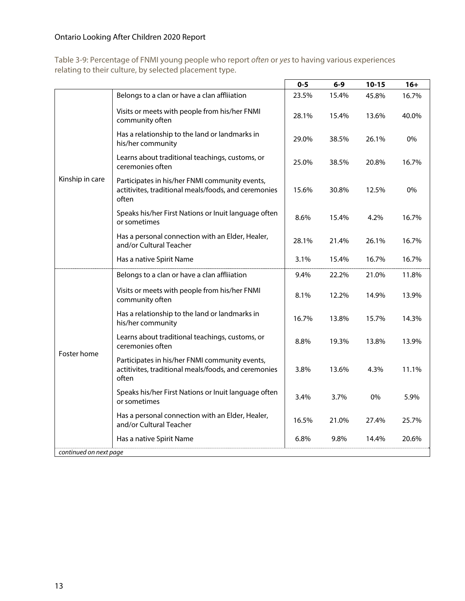Table 3-9: Percentage of FNMI young people who report often or yes to having various experiences relating to their culture, by selected placement type.

|                                       |                                                                                                                 | $0 - 5$ | $6-9$ | $10 - 15$ | $16+$ |
|---------------------------------------|-----------------------------------------------------------------------------------------------------------------|---------|-------|-----------|-------|
|                                       | Belongs to a clan or have a clan affliiation                                                                    | 23.5%   | 15.4% | 45.8%     | 16.7% |
|                                       | Visits or meets with people from his/her FNMI<br>community often                                                | 28.1%   | 15.4% | 13.6%     | 40.0% |
| Kinship in care                       | Has a relationship to the land or landmarks in<br>his/her community                                             | 29.0%   | 38.5% | 26.1%     | 0%    |
|                                       | Learns about traditional teachings, customs, or<br>ceremonies often                                             | 25.0%   | 38.5% | 20.8%     | 16.7% |
|                                       | Participates in his/her FNMI community events,<br>actitivites, traditional meals/foods, and ceremonies<br>often | 15.6%   | 30.8% | 12.5%     | 0%    |
|                                       | Speaks his/her First Nations or Inuit language often<br>or sometimes                                            | 8.6%    | 15.4% | 4.2%      | 16.7% |
|                                       | Has a personal connection with an Elder, Healer,<br>and/or Cultural Teacher                                     | 28.1%   | 21.4% | 26.1%     | 16.7% |
|                                       | Has a native Spirit Name                                                                                        | 3.1%    | 15.4% | 16.7%     | 16.7% |
|                                       | Belongs to a clan or have a clan affliiation                                                                    | 9.4%    | 22.2% | 21.0%     | 11.8% |
| Foster home<br>continued on next page | Visits or meets with people from his/her FNMI<br>community often                                                | 8.1%    | 12.2% | 14.9%     | 13.9% |
|                                       | Has a relationship to the land or landmarks in<br>his/her community                                             | 16.7%   | 13.8% | 15.7%     | 14.3% |
|                                       | Learns about traditional teachings, customs, or<br>ceremonies often                                             | 8.8%    | 19.3% | 13.8%     | 13.9% |
|                                       | Participates in his/her FNMI community events,<br>actitivites, traditional meals/foods, and ceremonies<br>often | 3.8%    | 13.6% | 4.3%      | 11.1% |
|                                       | Speaks his/her First Nations or Inuit language often<br>or sometimes                                            | 3.4%    | 3.7%  | 0%        | 5.9%  |
|                                       | Has a personal connection with an Elder, Healer,<br>and/or Cultural Teacher                                     | 16.5%   | 21.0% | 27.4%     | 25.7% |
|                                       | Has a native Spirit Name                                                                                        | 6.8%    | 9.8%  | 14.4%     | 20.6% |
|                                       |                                                                                                                 |         |       |           |       |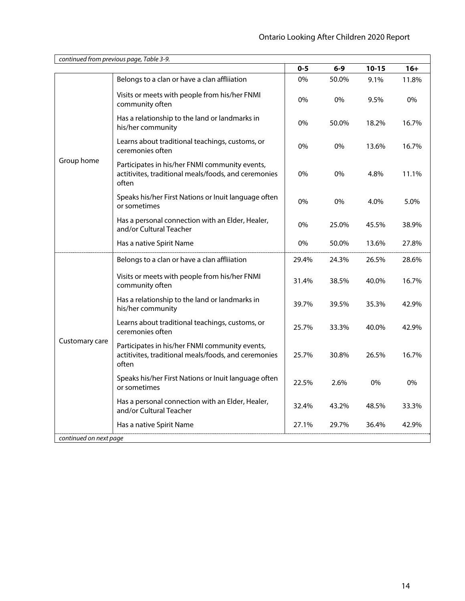|                                          | continued from previous page, Table 3-9.                                                                        |         |       |           |       |
|------------------------------------------|-----------------------------------------------------------------------------------------------------------------|---------|-------|-----------|-------|
|                                          |                                                                                                                 | $0 - 5$ | 6-9   | $10 - 15$ | $16+$ |
|                                          | Belongs to a clan or have a clan affliiation                                                                    | 0%      | 50.0% | 9.1%      | 11.8% |
|                                          | Visits or meets with people from his/her FNMI<br>community often                                                | 0%      | 0%    | 9.5%      | 0%    |
|                                          | Has a relationship to the land or landmarks in<br>his/her community                                             | 0%      | 50.0% | 18.2%     | 16.7% |
|                                          | Learns about traditional teachings, customs, or<br>ceremonies often                                             | 0%      | 0%    | 13.6%     | 16.7% |
| Group home                               | Participates in his/her FNMI community events,<br>actitivites, traditional meals/foods, and ceremonies<br>often | 0%      | 0%    | 4.8%      | 11.1% |
|                                          | Speaks his/her First Nations or Inuit language often<br>or sometimes                                            | 0%      | 0%    | 4.0%      | 5.0%  |
|                                          | Has a personal connection with an Elder, Healer,<br>and/or Cultural Teacher                                     | 0%      | 25.0% | 45.5%     | 38.9% |
|                                          | Has a native Spirit Name                                                                                        | 0%      | 50.0% | 13.6%     | 27.8% |
|                                          | Belongs to a clan or have a clan affliiation                                                                    | 29.4%   | 24.3% | 26.5%     | 28.6% |
| Customary care<br>continued on next page | Visits or meets with people from his/her FNMI<br>community often                                                | 31.4%   | 38.5% | 40.0%     | 16.7% |
|                                          | Has a relationship to the land or landmarks in<br>his/her community                                             | 39.7%   | 39.5% | 35.3%     | 42.9% |
|                                          | Learns about traditional teachings, customs, or<br>ceremonies often                                             | 25.7%   | 33.3% | 40.0%     | 42.9% |
|                                          | Participates in his/her FNMI community events,<br>actitivites, traditional meals/foods, and ceremonies<br>often | 25.7%   | 30.8% | 26.5%     | 16.7% |
|                                          | Speaks his/her First Nations or Inuit language often<br>or sometimes                                            | 22.5%   | 2.6%  | 0%        | 0%    |
|                                          | Has a personal connection with an Elder, Healer,<br>and/or Cultural Teacher                                     | 32.4%   | 43.2% | 48.5%     | 33.3% |
|                                          | Has a native Spirit Name                                                                                        | 27.1%   | 29.7% | 36.4%     | 42.9% |
|                                          |                                                                                                                 |         |       |           |       |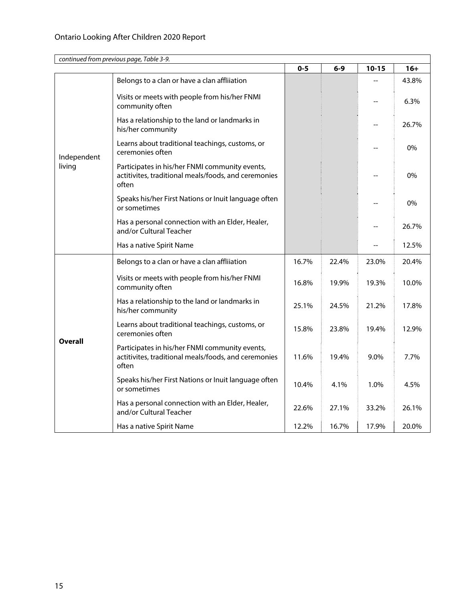|                       | continued from previous page, Table 3-9.                                                                        |         |       |           |       |
|-----------------------|-----------------------------------------------------------------------------------------------------------------|---------|-------|-----------|-------|
|                       |                                                                                                                 | $0 - 5$ | $6-9$ | $10 - 15$ | $16+$ |
|                       | Belongs to a clan or have a clan affliiation                                                                    |         |       |           | 43.8% |
|                       | Visits or meets with people from his/her FNMI<br>community often                                                |         |       |           | 6.3%  |
|                       | Has a relationship to the land or landmarks in<br>his/her community                                             |         |       |           | 26.7% |
| Independent<br>living | Learns about traditional teachings, customs, or<br>ceremonies often                                             |         |       |           | 0%    |
|                       | Participates in his/her FNMI community events,<br>actitivites, traditional meals/foods, and ceremonies<br>often |         |       |           | 0%    |
|                       | Speaks his/her First Nations or Inuit language often<br>or sometimes                                            |         |       |           | 0%    |
|                       | Has a personal connection with an Elder, Healer,<br>and/or Cultural Teacher                                     |         |       |           | 26.7% |
|                       | Has a native Spirit Name                                                                                        |         |       |           | 12.5% |
|                       | Belongs to a clan or have a clan affliiation                                                                    | 16.7%   | 22.4% | 23.0%     | 20.4% |
| <b>Overall</b>        | Visits or meets with people from his/her FNMI<br>community often                                                | 16.8%   | 19.9% | 19.3%     | 10.0% |
|                       | Has a relationship to the land or landmarks in<br>his/her community                                             | 25.1%   | 24.5% | 21.2%     | 17.8% |
|                       | Learns about traditional teachings, customs, or<br>ceremonies often                                             | 15.8%   | 23.8% | 19.4%     | 12.9% |
|                       | Participates in his/her FNMI community events,<br>actitivites, traditional meals/foods, and ceremonies<br>often | 11.6%   | 19.4% | 9.0%      | 7.7%  |
|                       | Speaks his/her First Nations or Inuit language often<br>or sometimes                                            | 10.4%   | 4.1%  | 1.0%      | 4.5%  |
|                       | Has a personal connection with an Elder, Healer,<br>and/or Cultural Teacher                                     | 22.6%   | 27.1% | 33.2%     | 26.1% |
|                       | Has a native Spirit Name                                                                                        | 12.2%   | 16.7% | 17.9%     | 20.0% |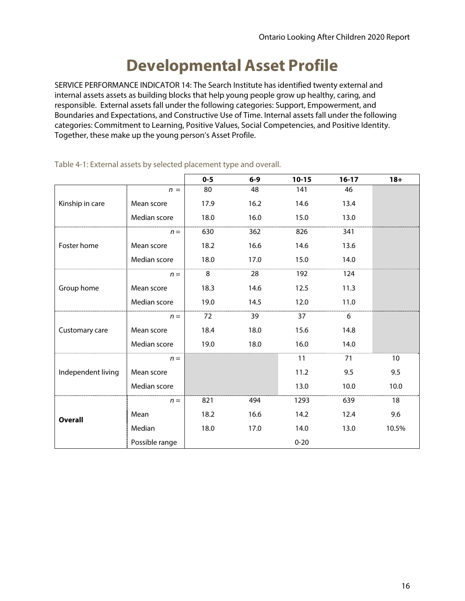### **Developmental Asset Profile**

SERVICE PERFORMANCE INDICATOR 14: The Search Institute has identified twenty external and internal assets assets as building blocks that help young people grow up healthy, caring, and responsible. External assets fall under the following categories: Support, Empowerment, and Boundaries and Expectations, and Constructive Use of Time. Internal assets fall under the following categories: Commitment to Learning, Positive Values, Social Competencies, and Positive Identity. Together, these make up the young person's Asset Profile.

|                    |                | $0 - 5$ | $6-9$ | $10 - 15$ | $16-17$ | $18 +$ |
|--------------------|----------------|---------|-------|-----------|---------|--------|
|                    | $n =$          | 80      | 48    | 141       | 46      |        |
| Kinship in care    | Mean score     | 17.9    | 16.2  | 14.6      | 13.4    |        |
|                    | Median score   | 18.0    | 16.0  | 15.0      | 13.0    |        |
|                    | $n =$          | 630     | 362   | 826       | 341     |        |
| Foster home        | Mean score     | 18.2    | 16.6  | 14.6      | 13.6    |        |
|                    | Median score   | 18.0    | 17.0  | 15.0      | 14.0    |        |
|                    | $n =$          | 8       | 28    | 192       | 124     |        |
| Group home         | Mean score     | 18.3    | 14.6  | 12.5      | 11.3    |        |
|                    | Median score   | 19.0    | 14.5  | 12.0      | 11.0    |        |
|                    | $n =$          | 72      | 39    | 37        | 6       |        |
| Customary care     | Mean score     | 18.4    | 18.0  | 15.6      | 14.8    |        |
|                    | Median score   | 19.0    | 18.0  | 16.0      | 14.0    |        |
|                    | $n =$          |         |       | 11        | 71      | 10     |
| Independent living | Mean score     |         |       | 11.2      | 9.5     | 9.5    |
|                    | Median score   |         |       | 13.0      | 10.0    | 10.0   |
| <b>Overall</b>     | $n =$          | 821     | 494   | 1293      | 639     | 18     |
|                    | Mean           | 18.2    | 16.6  | 14.2      | 12.4    | 9.6    |
|                    | Median         | 18.0    | 17.0  | 14.0      | 13.0    | 10.5%  |
|                    | Possible range |         |       | $0 - 20$  |         |        |

Table 4-1: External assets by selected placement type and overall.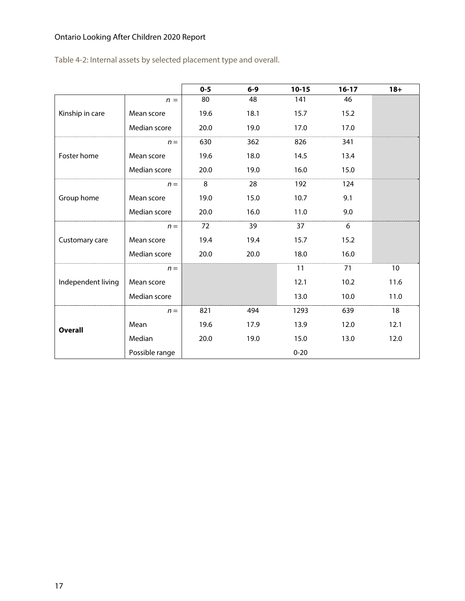Table 4-2: Internal assets by selected placement type and overall.

|                    |                | $0 - 5$ | $6-9$ | $10 - 15$ | $16-17$ | $18+$ |
|--------------------|----------------|---------|-------|-----------|---------|-------|
|                    | $n =$          | 80      | 48    | 141       | 46      |       |
| Kinship in care    | Mean score     | 19.6    | 18.1  | 15.7      | 15.2    |       |
|                    | Median score   | 20.0    | 19.0  | 17.0      | 17.0    |       |
|                    | $n =$          | 630     | 362   | 826       | 341     |       |
| Foster home        | Mean score     | 19.6    | 18.0  | 14.5      | 13.4    |       |
|                    | Median score   | 20.0    | 19.0  | 16.0      | 15.0    |       |
|                    | $n =$          | 8       | 28    | 192       | 124     |       |
| Group home         | Mean score     | 19.0    | 15.0  | 10.7      | 9.1     |       |
|                    | Median score   | 20.0    | 16.0  | 11.0      | 9.0     |       |
|                    | $n =$          | 72      | 39    | 37        | 6       |       |
| Customary care     | Mean score     | 19.4    | 19.4  | 15.7      | 15.2    |       |
|                    | Median score   | 20.0    | 20.0  | 18.0      | 16.0    |       |
|                    | $n =$          |         |       | 11        | 71      | 10    |
| Independent living | Mean score     |         |       | 12.1      | 10.2    | 11.6  |
|                    | Median score   |         |       | 13.0      | 10.0    | 11.0  |
| <b>Overall</b>     | $n =$          | 821     | 494   | 1293      | 639     | 18    |
|                    | Mean           | 19.6    | 17.9  | 13.9      | 12.0    | 12.1  |
|                    | Median         | 20.0    | 19.0  | 15.0      | 13.0    | 12.0  |
|                    | Possible range |         |       | $0 - 20$  |         |       |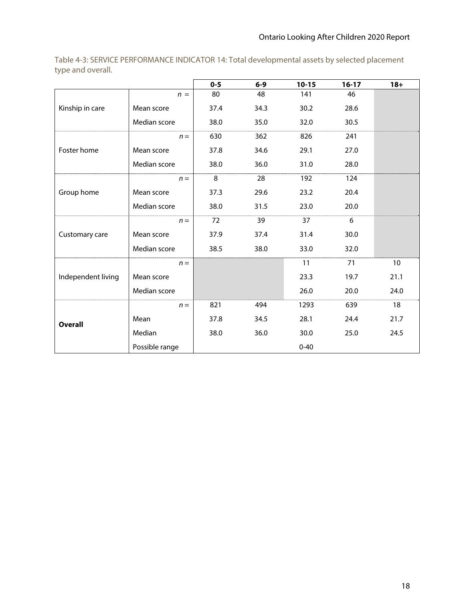|                    |                | $0 - 5$ | $6-9$ | $10 - 15$ | $16 - 17$ | $18 +$ |
|--------------------|----------------|---------|-------|-----------|-----------|--------|
|                    | $n =$          | 80      | 48    | 141       | 46        |        |
| Kinship in care    | Mean score     | 37.4    | 34.3  | 30.2      | 28.6      |        |
|                    | Median score   | 38.0    | 35.0  | 32.0      | 30.5      |        |
|                    | $n =$          | 630     | 362   | 826       | 241       |        |
| Foster home        | Mean score     | 37.8    | 34.6  | 29.1      | 27.0      |        |
|                    | Median score   | 38.0    | 36.0  | 31.0      | 28.0      |        |
|                    | $n =$          | 8       | 28    | 192       | 124       |        |
| Group home         | Mean score     | 37.3    | 29.6  | 23.2      | 20.4      |        |
|                    | Median score   | 38.0    | 31.5  | 23.0      | 20.0      |        |
|                    | $n =$          | 72      | 39    | 37        | 6         |        |
| Customary care     | Mean score     | 37.9    | 37.4  | 31.4      | 30.0      |        |
|                    | Median score   | 38.5    | 38.0  | 33.0      | 32.0      |        |
|                    | $n =$          |         |       | 11        | 71        | 10     |
| Independent living | Mean score     |         |       | 23.3      | 19.7      | 21.1   |
|                    | Median score   |         |       | 26.0      | 20.0      | 24.0   |
|                    | $n =$          | 821     | 494   | 1293      | 639       | 18     |
| <b>Overall</b>     | Mean           | 37.8    | 34.5  | 28.1      | 24.4      | 21.7   |
|                    | Median         | 38.0    | 36.0  | 30.0      | 25.0      | 24.5   |
|                    | Possible range |         |       | $0 - 40$  |           |        |

Table 4-3: SERVICE PERFORMANCE INDICATOR 14: Total developmental assets by selected placement type and overall.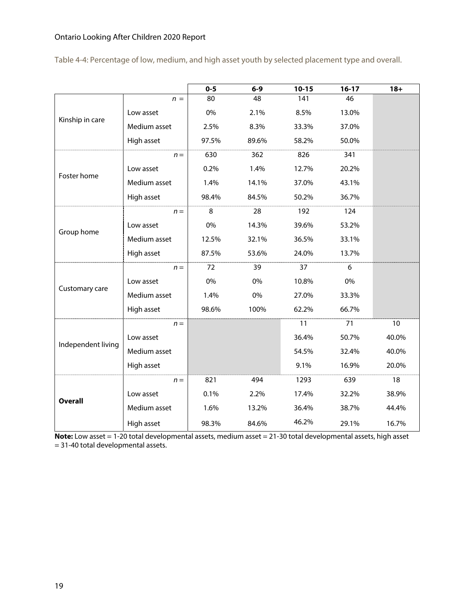|  |  | Table 4-4: Percentage of low, medium, and high asset youth by selected placement type and overall. |  |
|--|--|----------------------------------------------------------------------------------------------------|--|
|--|--|----------------------------------------------------------------------------------------------------|--|

|                    |              | $0 - 5$ | $6-9$ | $10 - 15$ | $16-17$ | $18 +$ |
|--------------------|--------------|---------|-------|-----------|---------|--------|
|                    | $n =$        | 80      | 48    | 141       | 46      |        |
|                    | Low asset    | 0%      | 2.1%  | 8.5%      | 13.0%   |        |
| Kinship in care    | Medium asset | 2.5%    | 8.3%  | 33.3%     | 37.0%   |        |
|                    | High asset   | 97.5%   | 89.6% | 58.2%     | 50.0%   |        |
|                    | $n =$        | 630     | 362   | 826       | 341     |        |
| Foster home        | Low asset    | 0.2%    | 1.4%  | 12.7%     | 20.2%   |        |
|                    | Medium asset | 1.4%    | 14.1% | 37.0%     | 43.1%   |        |
|                    | High asset   | 98.4%   | 84.5% | 50.2%     | 36.7%   |        |
|                    | $n =$        | 8       | 28    | 192       | 124     |        |
|                    | Low asset    | 0%      | 14.3% | 39.6%     | 53.2%   |        |
| Group home         | Medium asset | 12.5%   | 32.1% | 36.5%     | 33.1%   |        |
|                    | High asset   | 87.5%   | 53.6% | 24.0%     | 13.7%   |        |
|                    | $n =$        | 72      | 39    | 37        | 6       |        |
| Customary care     | Low asset    | 0%      | 0%    | 10.8%     | 0%      |        |
|                    | Medium asset | 1.4%    | 0%    | 27.0%     | 33.3%   |        |
|                    | High asset   | 98.6%   | 100%  | 62.2%     | 66.7%   |        |
|                    | $n =$        |         |       | 11        | 71      | 10     |
| Independent living | Low asset    |         |       | 36.4%     | 50.7%   | 40.0%  |
|                    | Medium asset |         |       | 54.5%     | 32.4%   | 40.0%  |
|                    | High asset   |         |       | 9.1%      | 16.9%   | 20.0%  |
|                    | $n =$        | 821     | 494   | 1293      | 639     | 18     |
|                    | Low asset    | 0.1%    | 2.2%  | 17.4%     | 32.2%   | 38.9%  |
| <b>Overall</b>     | Medium asset | 1.6%    | 13.2% | 36.4%     | 38.7%   | 44.4%  |
|                    | High asset   | 98.3%   | 84.6% | 46.2%     | 29.1%   | 16.7%  |

**Note:** Low asset = 1-20 total developmental assets, medium asset = 21-30 total developmental assets, high asset = 31-40 total developmental assets.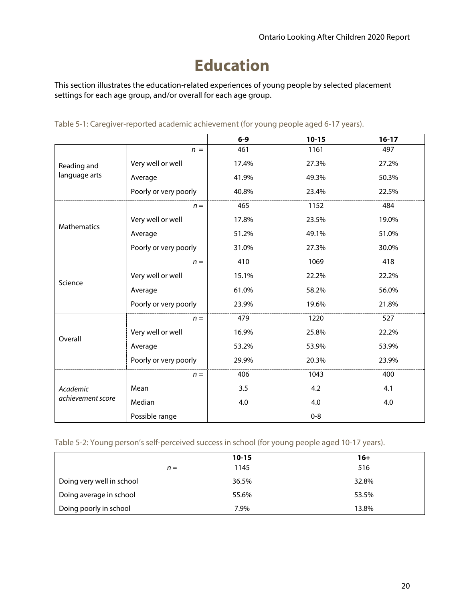# **Education**

This section illustrates the education-related experiences of young people by selected placement settings for each age group, and/or overall for each age group.

|                    |                       | $6-9$ | $10 - 15$ | $16-17$ |
|--------------------|-----------------------|-------|-----------|---------|
|                    | $n =$                 | 461   | 1161      | 497     |
| Reading and        | Very well or well     | 17.4% | 27.3%     | 27.2%   |
| language arts      | Average               | 41.9% | 49.3%     | 50.3%   |
|                    | Poorly or very poorly | 40.8% | 23.4%     | 22.5%   |
|                    | $n =$                 | 465   | 1152      | 484     |
| <b>Mathematics</b> | Very well or well     | 17.8% | 23.5%     | 19.0%   |
|                    | Average               | 51.2% | 49.1%     | 51.0%   |
|                    | Poorly or very poorly | 31.0% | 27.3%     | 30.0%   |
| Science            | $n =$                 | 410   | 1069      | 418     |
|                    | Very well or well     | 15.1% | 22.2%     | 22.2%   |
|                    | Average               | 61.0% | 58.2%     | 56.0%   |
|                    | Poorly or very poorly | 23.9% | 19.6%     | 21.8%   |
|                    | $n =$                 | 479   | 1220      | 527     |
| Overall            | Very well or well     | 16.9% | 25.8%     | 22.2%   |
|                    | Average               | 53.2% | 53.9%     | 53.9%   |
|                    | Poorly or very poorly | 29.9% | 20.3%     | 23.9%   |
|                    | $n =$                 | 406   | 1043      | 400     |
| Academic           | Mean                  | 3.5   | 4.2       | 4.1     |
| achievement score  | Median                | 4.0   | 4.0       | 4.0     |
|                    | Possible range        |       | $0 - 8$   |         |

Table 5-1: Caregiver-reported academic achievement (for young people aged 6-17 years).

Table 5-2: Young person's self-perceived success in school (for young people aged 10-17 years).

|                           | $10 - 15$ | $16+$ |
|---------------------------|-----------|-------|
| $n =$                     | 1145      | 516   |
| Doing very well in school | 36.5%     | 32.8% |
| Doing average in school   | 55.6%     | 53.5% |
| Doing poorly in school    | 7.9%      | 13.8% |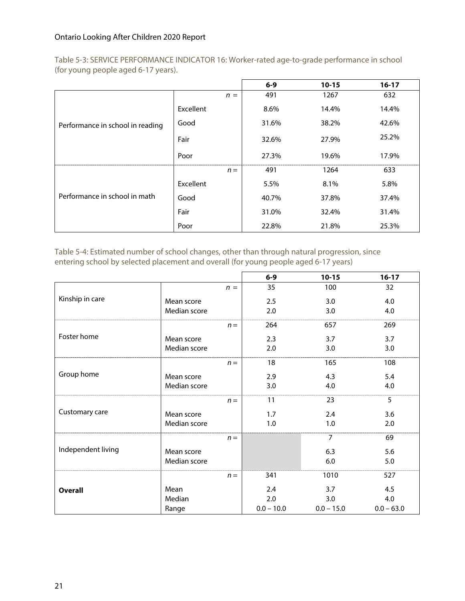Table 5-3: SERVICE PERFORMANCE INDICATOR 16: Worker-rated age-to-grade performance in school (for young people aged 6-17 years).

|                                  |           | $6-9$ | $10 - 15$ | $16-17$ |
|----------------------------------|-----------|-------|-----------|---------|
|                                  | $n =$     | 491   | 1267      | 632     |
|                                  | Excellent | 8.6%  | 14.4%     | 14.4%   |
| Performance in school in reading | Good      | 31.6% | 38.2%     | 42.6%   |
|                                  | Fair      | 32.6% | 27.9%     | 25.2%   |
|                                  | Poor      | 27.3% | 19.6%     | 17.9%   |
|                                  | $n =$     | 491   | 1264      | 633     |
| Performance in school in math    | Excellent | 5.5%  | 8.1%      | 5.8%    |
|                                  | Good      | 40.7% | 37.8%     | 37.4%   |
|                                  | Fair      | 31.0% | 32.4%     | 31.4%   |
|                                  | Poor      | 22.8% | 21.8%     | 25.3%   |

Table 5-4: Estimated number of school changes, other than through natural progression, since entering school by selected placement and overall (for young people aged 6-17 years)

|                    |              |       | $6-9$        | $10 - 15$    | $16-17$      |
|--------------------|--------------|-------|--------------|--------------|--------------|
|                    |              | $n =$ | 35           | 100          | 32           |
| Kinship in care    | Mean score   |       | 2.5          | 3.0          | 4.0          |
|                    | Median score |       | 2.0          | 3.0          | 4.0          |
|                    |              | $n =$ | 264          | 657          | 269          |
| Foster home        | Mean score   |       | 2.3          | 3.7          | 3.7          |
|                    | Median score |       | 2.0          | 3.0          | 3.0          |
|                    |              | $n =$ | 18           | 165          | 108          |
| Group home         | Mean score   |       | 2.9          | 4.3          | 5.4          |
|                    | Median score |       | 3.0          | 4.0          | 4.0          |
|                    |              | $n =$ | 11           | 23           | 5            |
| Customary care     | Mean score   |       | 1.7          | 2.4          | 3.6          |
|                    | Median score |       | 1.0          | 1.0          | 2.0          |
|                    |              | $n =$ |              | 7            | 69           |
| Independent living | Mean score   |       |              | 6.3          | 5.6          |
|                    | Median score |       |              | 6.0          | 5.0          |
|                    |              | $n =$ | 341          | 1010         | 527          |
| <b>Overall</b>     | Mean         |       | 2.4          | 3.7          | 4.5          |
|                    | Median       |       | 2.0          | 3.0          | 4.0          |
|                    | Range        |       | $0.0 - 10.0$ | $0.0 - 15.0$ | $0.0 - 63.0$ |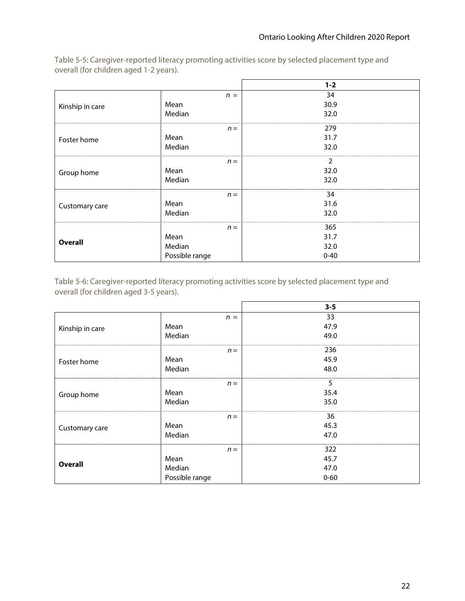|                 |                | $1 - 2$  |
|-----------------|----------------|----------|
|                 | $n =$          | 34       |
| Kinship in care | Mean           | 30.9     |
|                 | Median         | 32.0     |
|                 | $n =$          | 279      |
| Foster home     | Mean           | 31.7     |
|                 | Median         | 32.0     |
|                 | $n =$          | 2        |
| Group home      | Mean           | 32.0     |
|                 | Median         | 32.0     |
|                 | $n =$          | 34       |
| Customary care  | Mean           | 31.6     |
|                 | Median         | 32.0     |
|                 | $n =$          | 365      |
|                 | Mean           | 31.7     |
| <b>Overall</b>  | Median         | 32.0     |
|                 | Possible range | $0 - 40$ |

Table 5-5: Caregiver-reported literacy promoting activities score by selected placement type and overall (for children aged 1-2 years).

Table 5-6: Caregiver-reported literacy promoting activities score by selected placement type and overall (for children aged 3-5 years).

|                 |                | $3 - 5$  |
|-----------------|----------------|----------|
|                 | $n =$          | 33       |
| Kinship in care | Mean           | 47.9     |
|                 | Median         | 49.0     |
|                 | $n =$          | 236      |
| Foster home     | Mean           | 45.9     |
|                 | Median         | 48.0     |
|                 | $n =$          | 5        |
| Group home      | Mean           | 35.4     |
|                 | Median         | 35.0     |
|                 | $n =$          | 36       |
| Customary care  | Mean           | 45.3     |
|                 | Median         | 47.0     |
|                 | $n =$          | 322      |
| <b>Overall</b>  | Mean           | 45.7     |
|                 | Median         | 47.0     |
|                 | Possible range | $0 - 60$ |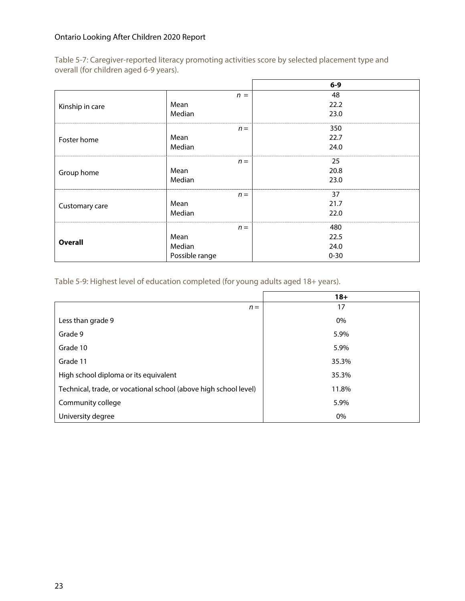Table 5-7: Caregiver-reported literacy promoting activities score by selected placement type and overall (for children aged 6-9 years).

|                 |                |       | $6-9$    |
|-----------------|----------------|-------|----------|
|                 |                | $n =$ | 48       |
| Kinship in care | Mean           |       | 22.2     |
|                 | Median         |       | 23.0     |
|                 |                | $n =$ | 350      |
| Foster home     | Mean           |       | 22.7     |
|                 | Median         |       | 24.0     |
|                 |                | $n =$ | 25       |
| Group home      | Mean           |       | 20.8     |
|                 | Median         |       | 23.0     |
|                 |                | $n =$ | 37       |
| Customary care  | Mean           |       | 21.7     |
|                 | Median         |       | 22.0     |
|                 |                | $n =$ | 480      |
| <b>Overall</b>  | Mean           |       | 22.5     |
|                 | Median         |       | 24.0     |
|                 | Possible range |       | $0 - 30$ |

Table 5-9: Highest level of education completed (for young adults aged 18+ years).

|                                                                  | $18+$ |
|------------------------------------------------------------------|-------|
| $n =$                                                            | 17    |
| Less than grade 9                                                | 0%    |
| Grade 9                                                          | 5.9%  |
| Grade 10                                                         | 5.9%  |
| Grade 11                                                         | 35.3% |
| High school diploma or its equivalent                            | 35.3% |
| Technical, trade, or vocational school (above high school level) | 11.8% |
| Community college                                                | 5.9%  |
| University degree                                                | 0%    |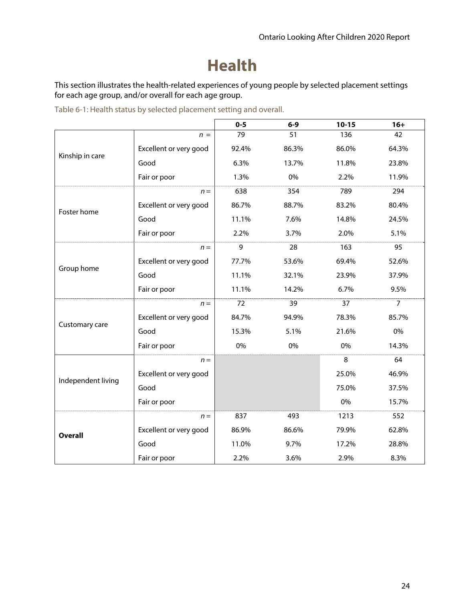### **Health**

This section illustrates the health-related experiences of young people by selected placement settings for each age group, and/or overall for each age group.

|                    |                        | $0 - 5$                                                                                                                                                                               | $6-9$ | $10 - 15$ | $16+$          |
|--------------------|------------------------|---------------------------------------------------------------------------------------------------------------------------------------------------------------------------------------|-------|-----------|----------------|
|                    | $n =$                  | 79                                                                                                                                                                                    | 51    | 136       | 42             |
|                    | Excellent or very good | 92.4%                                                                                                                                                                                 | 86.3% | 86.0%     | 64.3%          |
| Kinship in care    | Good                   | 6.3%                                                                                                                                                                                  | 13.7% | 11.8%     | 23.8%          |
|                    | Fair or poor           | 1.3%                                                                                                                                                                                  | 0%    | 2.2%      | 11.9%          |
|                    | $n =$                  | 638                                                                                                                                                                                   | 354   | 789       | 294            |
| Foster home        | Excellent or very good | 86.7%                                                                                                                                                                                 | 88.7% | 83.2%     | 80.4%          |
|                    | Good                   | 11.1%                                                                                                                                                                                 | 7.6%  | 14.8%     | 24.5%          |
|                    | Fair or poor           | 2.2%<br>3.7%<br>2.0%<br>9<br>28<br>163<br>$n =$<br>77.7%<br>53.6%<br>69.4%<br>11.1%<br>32.1%<br>23.9%<br>11.1%<br>14.2%<br>6.7%<br>72<br>39<br>37<br>$n =$<br>84.7%<br>94.9%<br>78.3% |       | 5.1%      |                |
|                    |                        |                                                                                                                                                                                       |       |           | 95             |
|                    | Excellent or very good |                                                                                                                                                                                       |       |           | 52.6%          |
| Group home         | Good                   |                                                                                                                                                                                       |       |           | 37.9%          |
|                    | Fair or poor           |                                                                                                                                                                                       |       |           | 9.5%           |
|                    |                        |                                                                                                                                                                                       |       |           | $\overline{7}$ |
|                    | Excellent or very good |                                                                                                                                                                                       |       |           | 85.7%          |
| Customary care     | Good                   | 15.3%                                                                                                                                                                                 | 5.1%  | 21.6%     | 0%             |
|                    | Fair or poor           | 0%                                                                                                                                                                                    | 0%    | 0%        | 14.3%          |
|                    | $n =$                  |                                                                                                                                                                                       |       | 8         | 64             |
|                    | Excellent or very good |                                                                                                                                                                                       |       | 25.0%     | 46.9%          |
| Independent living | Good                   |                                                                                                                                                                                       |       | 75.0%     | 37.5%          |
|                    | Fair or poor           |                                                                                                                                                                                       |       | 0%        | 15.7%          |
|                    | $n =$                  | 837                                                                                                                                                                                   | 493   | 1213      | 552            |
| <b>Overall</b>     | Excellent or very good | 86.9%                                                                                                                                                                                 | 86.6% | 79.9%     | 62.8%          |
|                    | Good                   | 11.0%                                                                                                                                                                                 | 9.7%  | 17.2%     | 28.8%          |
|                    | Fair or poor           | 2.2%                                                                                                                                                                                  | 3.6%  | 2.9%      | 8.3%           |

Table 6-1: Health status by selected placement setting and overall.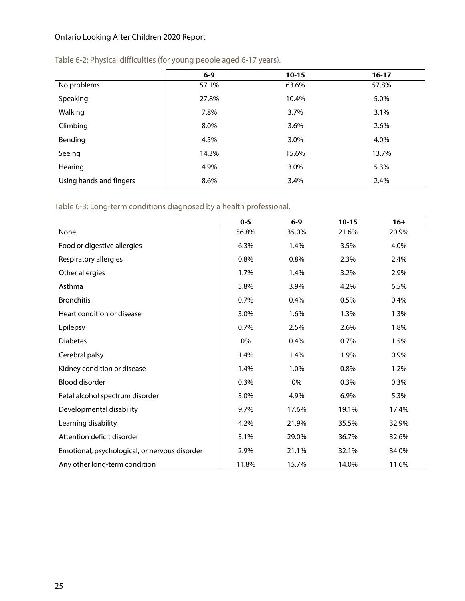|                         | $6 - 9$ | $10 - 15$ | $16 - 17$ |
|-------------------------|---------|-----------|-----------|
| No problems             | 57.1%   | 63.6%     | 57.8%     |
| Speaking                | 27.8%   | 10.4%     | 5.0%      |
| Walking                 | 7.8%    | 3.7%      | 3.1%      |
| Climbing                | 8.0%    | 3.6%      | 2.6%      |
| Bending                 | 4.5%    | 3.0%      | 4.0%      |
| Seeing                  | 14.3%   | 15.6%     | 13.7%     |
| Hearing                 | 4.9%    | 3.0%      | 5.3%      |
| Using hands and fingers | 8.6%    | 3.4%      | 2.4%      |

#### Table 6-2: Physical difficulties (for young people aged 6-17 years).

Table 6-3: Long-term conditions diagnosed by a health professional.

|                                               | $0 - 5$ | $6-9$ | $10 - 15$ | $16+$ |
|-----------------------------------------------|---------|-------|-----------|-------|
| None                                          | 56.8%   | 35.0% | 21.6%     | 20.9% |
| Food or digestive allergies                   | 6.3%    | 1.4%  | 3.5%      | 4.0%  |
| Respiratory allergies                         | 0.8%    | 0.8%  | 2.3%      | 2.4%  |
| Other allergies                               | 1.7%    | 1.4%  | 3.2%      | 2.9%  |
| Asthma                                        | 5.8%    | 3.9%  | 4.2%      | 6.5%  |
| <b>Bronchitis</b>                             | 0.7%    | 0.4%  | 0.5%      | 0.4%  |
| Heart condition or disease                    | 3.0%    | 1.6%  | 1.3%      | 1.3%  |
| Epilepsy                                      | 0.7%    | 2.5%  | 2.6%      | 1.8%  |
| <b>Diabetes</b>                               | 0%      | 0.4%  | 0.7%      | 1.5%  |
| Cerebral palsy                                | 1.4%    | 1.4%  | 1.9%      | 0.9%  |
| Kidney condition or disease                   | 1.4%    | 1.0%  | 0.8%      | 1.2%  |
| Blood disorder                                | 0.3%    | 0%    | 0.3%      | 0.3%  |
| Fetal alcohol spectrum disorder               | 3.0%    | 4.9%  | 6.9%      | 5.3%  |
| Developmental disability                      | 9.7%    | 17.6% | 19.1%     | 17.4% |
| Learning disability                           | 4.2%    | 21.9% | 35.5%     | 32.9% |
| Attention deficit disorder                    | 3.1%    | 29.0% | 36.7%     | 32.6% |
| Emotional, psychological, or nervous disorder | 2.9%    | 21.1% | 32.1%     | 34.0% |
| Any other long-term condition                 | 11.8%   | 15.7% | 14.0%     | 11.6% |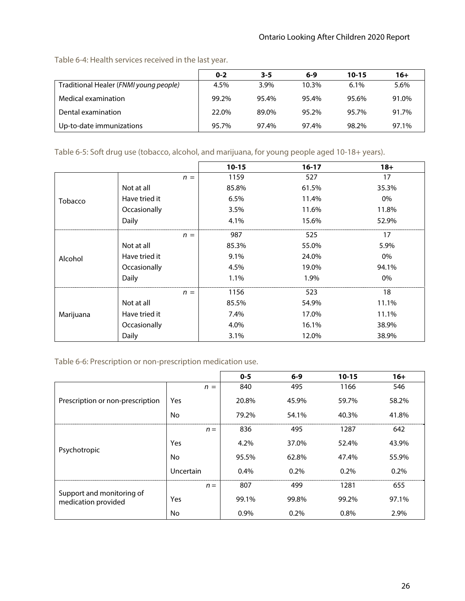|                                        | $0 - 2$ | $3 - 5$ | $6-9$ | $10 - 15$ | $16+$ |
|----------------------------------------|---------|---------|-------|-----------|-------|
| Traditional Healer (FNMI young people) | 4.5%    | 3.9%    | 10.3% | $6.1\%$   | 5.6%  |
| Medical examination                    | 99.2%   | 95.4%   | 95.4% | 95.6%     | 91.0% |
| Dental examination                     | 22.0%   | 89.0%   | 95.2% | 95.7%     | 91.7% |
| Up-to-date immunizations               | 95.7%   | 97.4%   | 97.4% | 98.2%     | 97.1% |

Table 6-4: Health services received in the last year.

#### Table 6-5: Soft drug use (tobacco, alcohol, and marijuana, for young people aged 10-18+ years).

|                |               | $10 - 15$ | $16-17$ | $18 +$ |
|----------------|---------------|-----------|---------|--------|
|                | $n =$         | 1159      | 527     | 17     |
|                | Not at all    | 85.8%     | 61.5%   | 35.3%  |
| <b>Tobacco</b> | Have tried it | 6.5%      | 11.4%   | 0%     |
|                | Occasionally  | 3.5%      | 11.6%   | 11.8%  |
|                | Daily         | 4.1%      | 15.6%   | 52.9%  |
|                | $n =$         | 987       | 525     | 17     |
|                | Not at all    | 85.3%     | 55.0%   | 5.9%   |
| Alcohol        | Have tried it | $9.1\%$   | 24.0%   | 0%     |
|                | Occasionally  | 4.5%      | 19.0%   | 94.1%  |
|                | Daily         | 1.1%      | 1.9%    | 0%     |
|                | $n =$         | 1156      | 523     | 18     |
|                | Not at all    | 85.5%     | 54.9%   | 11.1%  |
| Marijuana      | Have tried it | 7.4%      | 17.0%   | 11.1%  |
|                | Occasionally  | 4.0%      | 16.1%   | 38.9%  |
|                | Daily         | 3.1%      | 12.0%   | 38.9%  |

Table 6-6: Prescription or non-prescription medication use.

|                                                  |                  | $0-5$ | $6 - 9$ | $10 - 15$ | $16+$ |
|--------------------------------------------------|------------------|-------|---------|-----------|-------|
|                                                  | $n =$            | 840   | 495     | 1166      | 546   |
| Prescription or non-prescription                 | <b>Yes</b>       | 20.8% | 45.9%   | 59.7%     | 58.2% |
|                                                  | No               | 79.2% | 54.1%   | 40.3%     | 41.8% |
|                                                  | $n =$            | 836   | 495     | 1287      | 642   |
|                                                  | Yes              | 4.2%  | 37.0%   | 52.4%     | 43.9% |
| Psychotropic                                     | No               | 95.5% | 62.8%   | 47.4%     | 55.9% |
|                                                  | <b>Uncertain</b> | 0.4%  | $0.2\%$ | $0.2\%$   | 0.2%  |
|                                                  | $n =$            | 807   | 499     | 1281      | 655   |
| Support and monitoring of<br>medication provided | Yes              | 99.1% | 99.8%   | 99.2%     | 97.1% |
|                                                  | No               | 0.9%  | 0.2%    | 0.8%      | 2.9%  |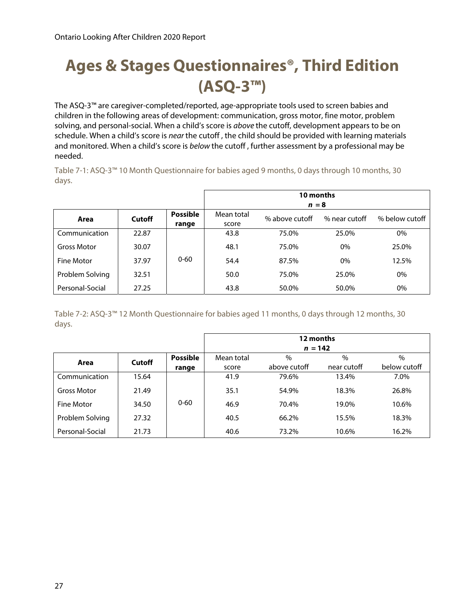# **Ages & Stages Questionnaires®, Third Edition (ASQ-3™)**

The ASQ-3™ are caregiver-completed/reported, age-appropriate tools used to screen babies and children in the following areas of development: communication, gross motor, fine motor, problem solving, and personal-social. When a child's score is above the cutoff, development appears to be on schedule. When a child's score is near the cutoff, the child should be provided with learning materials and monitored. When a child's score is below the cutoff, further assessment by a professional may be needed.

Table 7-1: ASQ-3™ 10 Month Questionnaire for babies aged 9 months, 0 days through 10 months, 30 days.

|                    |        |                          | 10 months<br>$n = 8$                                                     |       |       |       |  |  |
|--------------------|--------|--------------------------|--------------------------------------------------------------------------|-------|-------|-------|--|--|
| Area               | Cutoff | <b>Possible</b><br>range | Mean total<br>% below cutoff<br>% near cutoff<br>% above cutoff<br>score |       |       |       |  |  |
| Communication      | 22.87  |                          | 43.8                                                                     | 75.0% | 25.0% | 0%    |  |  |
| <b>Gross Motor</b> | 30.07  |                          | 48.1                                                                     | 75.0% | 0%    | 25.0% |  |  |
| <b>Fine Motor</b>  | 37.97  | $0 - 60$                 | 54.4                                                                     | 87.5% | 0%    | 12.5% |  |  |
| Problem Solving    | 32.51  |                          | 50.0                                                                     | 75.0% | 25.0% | 0%    |  |  |
| Personal-Social    | 27.25  |                          | 43.8                                                                     | 50.0% | 50.0% | 0%    |  |  |

Table 7-2: ASQ-3™ 12 Month Questionnaire for babies aged 11 months, 0 days through 12 months, 30 days.

|                    |        |                 | 12 months<br>$n = 142$ |              |             |               |  |
|--------------------|--------|-----------------|------------------------|--------------|-------------|---------------|--|
| Area               | Cutoff | <b>Possible</b> | Mean total             | $\%$         | $\%$        | $\frac{0}{0}$ |  |
|                    |        | range           | score                  | above cutoff | near cutoff | below cutoff  |  |
| Communication      | 15.64  |                 | 41.9                   | 79.6%        | 13.4%       | 7.0%          |  |
| <b>Gross Motor</b> | 21.49  |                 | 35.1                   | 54.9%        | 18.3%       | 26.8%         |  |
| Fine Motor         | 34.50  | $0 - 60$        | 46.9                   | 70.4%        | 19.0%       | 10.6%         |  |
| Problem Solving    | 27.32  |                 | 40.5                   | 66.2%        | 15.5%       | 18.3%         |  |
| Personal-Social    | 21.73  |                 | 40.6                   | 73.2%        | 10.6%       | 16.2%         |  |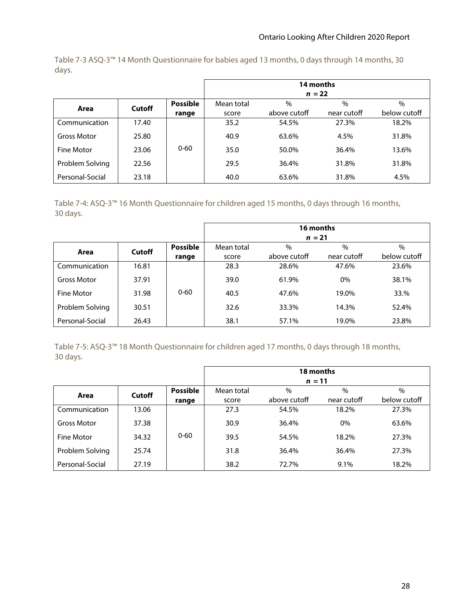Table 7-3 ASQ-3™ 14 Month Questionnaire for babies aged 13 months, 0 days through 14 months, 30 days.

|                    |        |                 | 14 months<br>$n = 22$ |               |             |               |  |
|--------------------|--------|-----------------|-----------------------|---------------|-------------|---------------|--|
|                    | Cutoff | <b>Possible</b> | Mean total            | $\frac{0}{0}$ | $\%$        | $\frac{0}{0}$ |  |
| Area               |        | range           | score                 | above cutoff  | near cutoff | below cutoff  |  |
| Communication      | 17.40  |                 | 35.2                  | 54.5%         | 27.3%       | 18.2%         |  |
| <b>Gross Motor</b> | 25.80  |                 | 40.9                  | 63.6%         | 4.5%        | 31.8%         |  |
| Fine Motor         | 23.06  | $0 - 60$        | 35.0                  | 50.0%         | 36.4%       | 13.6%         |  |
| Problem Solving    | 22.56  |                 | 29.5                  | 36.4%         | 31.8%       | 31.8%         |  |
| Personal-Social    | 23.18  |                 | 40.0                  | 63.6%         | 31.8%       | 4.5%          |  |

Table 7-4: ASQ-3™ 16 Month Questionnaire for children aged 15 months, 0 days through 16 months, 30 days.

|                    |        |                 | 16 months  |                                                    |             |              |  |  |  |
|--------------------|--------|-----------------|------------|----------------------------------------------------|-------------|--------------|--|--|--|
|                    | Cutoff | <b>Possible</b> | Mean total | $n = 21$<br>$\frac{0}{0}$<br>$\frac{0}{0}$<br>$\%$ |             |              |  |  |  |
| Area               |        | range           | score      | above cutoff                                       | near cutoff | below cutoff |  |  |  |
| Communication      | 16.81  |                 | 28.3       | 28.6%                                              | 47.6%       | 23.6%        |  |  |  |
| <b>Gross Motor</b> | 37.91  |                 | 39.0       | 61.9%                                              | $0\%$       | 38.1%        |  |  |  |
| Fine Motor         | 31.98  | $0 - 60$        | 40.5       | 47.6%                                              | 19.0%       | 33.%         |  |  |  |
| Problem Solving    | 30.51  |                 | 32.6       | 33.3%                                              | 14.3%       | 52.4%        |  |  |  |
| Personal-Social    | 26.43  |                 | 38.1       | 57.1%                                              | 19.0%       | 23.8%        |  |  |  |

Table 7-5: ASQ-3™ 18 Month Questionnaire for children aged 17 months, 0 days through 18 months, 30 days.

|                 |        |                 | 18 months  |               |               |              |  |
|-----------------|--------|-----------------|------------|---------------|---------------|--------------|--|
|                 |        |                 |            | $n = 11$      |               |              |  |
|                 | Cutoff | <b>Possible</b> | Mean total | $\frac{0}{0}$ | $\frac{0}{0}$ | $\%$         |  |
| Area            |        | range           | score      | above cutoff  | near cutoff   | below cutoff |  |
| Communication   | 13.06  |                 | 27.3       | 54.5%         | 18.2%         | 27.3%        |  |
| Gross Motor     | 37.38  |                 | 30.9       | 36.4%         | $0\%$         | 63.6%        |  |
| Fine Motor      | 34.32  | $0 - 60$        | 39.5       | 54.5%         | 18.2%         | 27.3%        |  |
| Problem Solving | 25.74  |                 | 31.8       | 36.4%         | 36.4%         | 27.3%        |  |
| Personal-Social | 27.19  |                 | 38.2       | 72.7%         | 9.1%          | 18.2%        |  |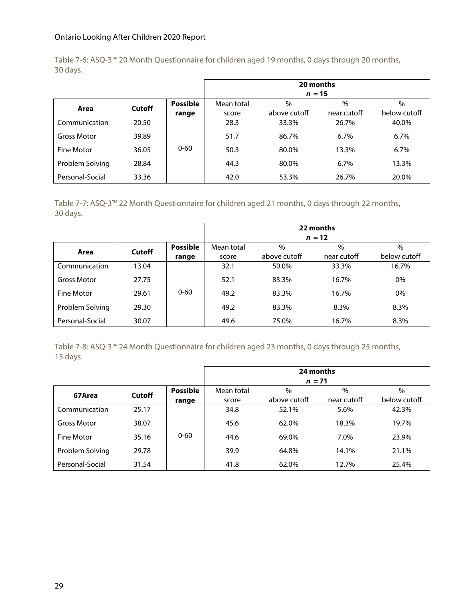Table 7-6: ASQ-3™ 20 Month Questionnaire for children aged 19 months, 0 days through 20 months, 30 days.

|                    |        |                 | 20 months  |              |             |               |  |
|--------------------|--------|-----------------|------------|--------------|-------------|---------------|--|
|                    |        |                 |            | $n = 15$     |             |               |  |
| Area               | Cutoff | <b>Possible</b> | Mean total | $\%$         | $\%$        | $\frac{0}{0}$ |  |
|                    |        | range           | score      | above cutoff | near cutoff | below cutoff  |  |
| Communication      | 20.50  |                 | 28.3       | 33.3%        | 26.7%       | 40.0%         |  |
| <b>Gross Motor</b> | 39.89  |                 | 51.7       | 86.7%        | 6.7%        | 6.7%          |  |
| Fine Motor         | 36.05  | $0 - 60$        | 50.3       | 80.0%        | 13.3%       | 6.7%          |  |
| Problem Solving    | 28.84  |                 | 44.3       | 80.0%        | 6.7%        | 13.3%         |  |
| Personal-Social    | 33.36  |                 | 42.0       | 53.3%        | 26.7%       | 20.0%         |  |

Table 7-7: ASQ-3™ 22 Month Questionnaire for children aged 21 months, 0 days through 22 months, 30 days.

|                    |        |                 | 22 months<br>$n = 12$ |               |             |              |  |
|--------------------|--------|-----------------|-----------------------|---------------|-------------|--------------|--|
|                    |        | <b>Possible</b> | Mean total            | $\frac{0}{0}$ | $\%$        | $\%$         |  |
| Area               | Cutoff | range           | score                 | above cutoff  | near cutoff | below cutoff |  |
| Communication      | 13.04  |                 | 32.1                  | 50.0%         | 33.3%       | 16.7%        |  |
| <b>Gross Motor</b> | 27.75  |                 | 52.1                  | 83.3%         | 16.7%       | 0%           |  |
| <b>Fine Motor</b>  | 29.61  | $0 - 60$        | 49.2                  | 83.3%         | 16.7%       | 0%           |  |
| Problem Solving    | 29.30  |                 | 49.2                  | 83.3%         | 8.3%        | 8.3%         |  |
| Personal-Social    | 30.07  |                 | 49.6                  | 75.0%         | 16.7%       | 8.3%         |  |

Table 7-8: ASQ-3™ 24 Month Questionnaire for children aged 23 months, 0 days through 25 months, 15 days.

|                 |        |                 | 24 months<br>$n = 71$ |               |             |              |  |
|-----------------|--------|-----------------|-----------------------|---------------|-------------|--------------|--|
|                 |        |                 |                       |               |             |              |  |
| 67Area          | Cutoff | <b>Possible</b> | Mean total            | $\frac{0}{0}$ | $\%$        | $\%$         |  |
|                 |        | range           | score                 | above cutoff  | near cutoff | below cutoff |  |
| Communication   | 25.17  |                 | 34.8                  | 52.1%         | 5.6%        | 42.3%        |  |
| Gross Motor     | 38.07  |                 | 45.6                  | 62.0%         | 18.3%       | 19.7%        |  |
| Fine Motor      | 35.16  | $0 - 60$        | 44.6                  | 69.0%         | 7.0%        | 23.9%        |  |
| Problem Solving | 29.78  |                 | 39.9                  | 64.8%         | 14.1%       | 21.1%        |  |
| Personal-Social | 31.54  |                 | 41.8                  | 62.0%         | 12.7%       | 25.4%        |  |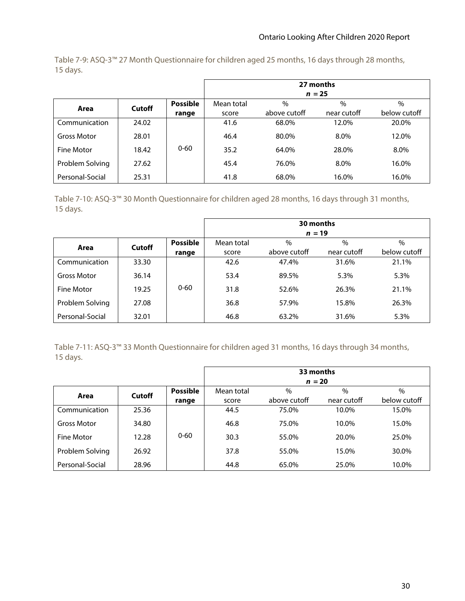Table 7-9: ASQ-3™ 27 Month Questionnaire for children aged 25 months, 16 days through 28 months, 15 days.

|                    |        |                 | 27 months<br>$n = 25$ |               |             |               |  |  |
|--------------------|--------|-----------------|-----------------------|---------------|-------------|---------------|--|--|
| Area               | Cutoff | <b>Possible</b> | Mean total            | $\frac{0}{0}$ | $\%$        | $\frac{0}{0}$ |  |  |
|                    |        | range           | score                 | above cutoff  | near cutoff | below cutoff  |  |  |
| Communication      | 24.02  |                 | 41.6                  | 68.0%         | 12.0%       | 20.0%         |  |  |
| <b>Gross Motor</b> | 28.01  |                 | 46.4                  | 80.0%         | 8.0%        | 12.0%         |  |  |
| Fine Motor         | 18.42  | $0 - 60$        | 35.2                  | 64.0%         | 28.0%       | 8.0%          |  |  |
| Problem Solving    | 27.62  |                 | 45.4                  | 76.0%         | 8.0%        | 16.0%         |  |  |
| Personal-Social    | 25.31  |                 | 41.8                  | 68.0%         | 16.0%       | 16.0%         |  |  |

Table 7-10: ASQ-3™ 30 Month Questionnaire for children aged 28 months, 16 days through 31 months, 15 days.

|                    |        |                 | 30 months<br>$n = 19$ |               |             |               |  |  |
|--------------------|--------|-----------------|-----------------------|---------------|-------------|---------------|--|--|
|                    | Cutoff | <b>Possible</b> | Mean total            | $\frac{0}{0}$ | $\%$        | $\frac{0}{0}$ |  |  |
| Area               |        | range           | score                 | above cutoff  | near cutoff | below cutoff  |  |  |
| Communication      | 33.30  |                 | 42.6                  | 47.4%         | 31.6%       | 21.1%         |  |  |
| <b>Gross Motor</b> | 36.14  |                 | 53.4                  | 89.5%         | 5.3%        | 5.3%          |  |  |
| Fine Motor         | 19.25  | $0 - 60$        | 31.8                  | 52.6%         | 26.3%       | 21.1%         |  |  |
| Problem Solving    | 27.08  |                 | 36.8                  | 57.9%         | 15.8%       | 26.3%         |  |  |
| Personal-Social    | 32.01  |                 | 46.8                  | 63.2%         | 31.6%       | 5.3%          |  |  |

Table 7-11: ASQ-3™ 33 Month Questionnaire for children aged 31 months, 16 days through 34 months, 15 days.

|                 |        |                 | 33 months<br>$n = 20$ |              |               |              |  |  |
|-----------------|--------|-----------------|-----------------------|--------------|---------------|--------------|--|--|
|                 | Cutoff | <b>Possible</b> |                       | $\%$         | $\frac{0}{0}$ | $\%$         |  |  |
| Area            |        | range           | score                 | above cutoff | near cutoff   | below cutoff |  |  |
| Communication   | 25.36  |                 | 44.5                  | 75.0%        | 10.0%         | 15.0%        |  |  |
| Gross Motor     | 34.80  |                 | 46.8                  | 75.0%        | 10.0%         | 15.0%        |  |  |
| Fine Motor      | 12.28  | $0 - 60$        | 30.3                  | 55.0%        | 20.0%         | 25.0%        |  |  |
| Problem Solving | 26.92  |                 | 37.8                  | 55.0%        | 15.0%         | 30.0%        |  |  |
| Personal-Social | 28.96  |                 | 44.8                  | 65.0%        | 25.0%         | 10.0%        |  |  |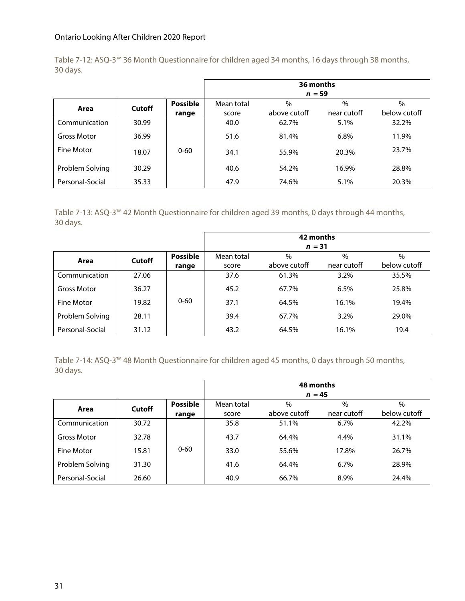Table 7-12: ASQ-3™ 36 Month Questionnaire for children aged 34 months, 16 days through 38 months, 30 days.

|                    |        |                 | 36 months  |              |             |               |  |  |
|--------------------|--------|-----------------|------------|--------------|-------------|---------------|--|--|
|                    |        |                 | $n = 59$   |              |             |               |  |  |
| Area               | Cutoff | <b>Possible</b> | Mean total | $\%$         | $\%$        | $\frac{0}{0}$ |  |  |
|                    |        | range           | score      | above cutoff | near cutoff | below cutoff  |  |  |
| Communication      | 30.99  |                 | 40.0       | 62.7%        | 5.1%        | 32.2%         |  |  |
| <b>Gross Motor</b> | 36.99  |                 | 51.6       | 81.4%        | 6.8%        | 11.9%         |  |  |
| <b>Fine Motor</b>  | 18.07  | $0 - 60$        | 34.1       | 55.9%        | 20.3%       | 23.7%         |  |  |
| Problem Solving    | 30.29  |                 | 40.6       | 54.2%        | 16.9%       | 28.8%         |  |  |
| Personal-Social    | 35.33  |                 | 47.9       | 74.6%        | 5.1%        | 20.3%         |  |  |

Table 7-13: ASQ-3™ 42 Month Questionnaire for children aged 39 months, 0 days through 44 months, 30 days.

|                    |        |                 | 42 months  |               |             |               |  |  |
|--------------------|--------|-----------------|------------|---------------|-------------|---------------|--|--|
|                    |        |                 | $n = 31$   |               |             |               |  |  |
| Area               | Cutoff | <b>Possible</b> | Mean total | $\frac{0}{0}$ | $\%$        | $\frac{0}{0}$ |  |  |
|                    |        | range           | score      | above cutoff  | near cutoff | below cutoff  |  |  |
| Communication      | 27.06  |                 | 37.6       | 61.3%         | $3.2\%$     | 35.5%         |  |  |
| <b>Gross Motor</b> | 36.27  |                 | 45.2       | 67.7%         | 6.5%        | 25.8%         |  |  |
| Fine Motor         | 19.82  | $0 - 60$        | 37.1       | 64.5%         | 16.1%       | 19.4%         |  |  |
| Problem Solving    | 28.11  |                 | 39.4       | 67.7%         | 3.2%        | 29.0%         |  |  |
| Personal-Social    | 31.12  |                 | 43.2       | 64.5%         | 16.1%       | 19.4          |  |  |

Table 7-14: ASQ-3™ 48 Month Questionnaire for children aged 45 months, 0 days through 50 months, 30 days.

|                    |        |                 | 48 months<br>$n = 45$ |               |             |               |  |  |
|--------------------|--------|-----------------|-----------------------|---------------|-------------|---------------|--|--|
|                    |        | <b>Possible</b> | Mean total            | $\frac{0}{0}$ | $\%$        | $\frac{0}{0}$ |  |  |
| Area               | Cutoff | range           | score                 | above cutoff  | near cutoff | below cutoff  |  |  |
| Communication      | 30.72  |                 | 35.8                  | 51.1%         | $6.7\%$     | 42.2%         |  |  |
| <b>Gross Motor</b> | 32.78  |                 | 43.7                  | 64.4%         | 4.4%        | 31.1%         |  |  |
| <b>Fine Motor</b>  | 15.81  | $0 - 60$        | 33.0                  | 55.6%         | 17.8%       | 26.7%         |  |  |
| Problem Solving    | 31.30  |                 | 41.6                  | 64.4%         | 6.7%        | 28.9%         |  |  |
| Personal-Social    | 26.60  |                 | 40.9                  | 66.7%         | 8.9%        | 24.4%         |  |  |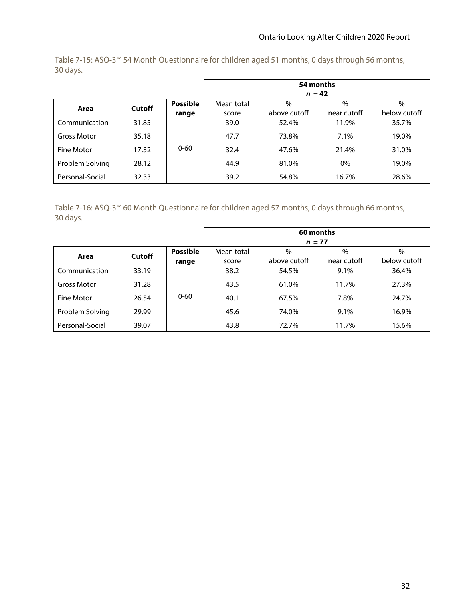Table 7-15: ASQ-3™ 54 Month Questionnaire for children aged 51 months, 0 days through 56 months, 30 days.

|                    |        |                 | 54 months<br>$n = 42$ |              |             |              |  |  |
|--------------------|--------|-----------------|-----------------------|--------------|-------------|--------------|--|--|
|                    |        | <b>Possible</b> |                       | $\%$         | $\%$        | $\%$         |  |  |
| Area               | Cutoff | range           | score                 | above cutoff | near cutoff | below cutoff |  |  |
| Communication      | 31.85  |                 | 39.0                  | 52.4%        | 11.9%       | 35.7%        |  |  |
| <b>Gross Motor</b> | 35.18  |                 | 47.7                  | 73.8%        | 7.1%        | 19.0%        |  |  |
| Fine Motor         | 17.32  | $0 - 60$        | 32.4                  | 47.6%        | 21.4%       | 31.0%        |  |  |
| Problem Solving    | 28.12  |                 | 44.9                  | 81.0%        | 0%          | 19.0%        |  |  |
| Personal-Social    | 32.33  |                 | 39.2                  | 54.8%        | 16.7%       | 28.6%        |  |  |

Table 7-16: ASQ-3™ 60 Month Questionnaire for children aged 57 months, 0 days through 66 months, 30 days.

|                    |        |                 | 60 months  |              |             |              |  |  |
|--------------------|--------|-----------------|------------|--------------|-------------|--------------|--|--|
|                    |        |                 | $n = 77$   |              |             |              |  |  |
| Area               | Cutoff | <b>Possible</b> | Mean total | $\%$         | $\%$        | $\%$         |  |  |
|                    |        | range           | score      | above cutoff | near cutoff | below cutoff |  |  |
| Communication      | 33.19  |                 | 38.2       | 54.5%        | 9.1%        | 36.4%        |  |  |
| <b>Gross Motor</b> | 31.28  |                 | 43.5       | 61.0%        | 11.7%       | 27.3%        |  |  |
| Fine Motor         | 26.54  | $0 - 60$        | 40.1       | 67.5%        | 7.8%        | 24.7%        |  |  |
| Problem Solving    | 29.99  |                 | 45.6       | 74.0%        | 9.1%        | 16.9%        |  |  |
| Personal-Social    | 39.07  |                 | 43.8       | 72.7%        | 11.7%       | 15.6%        |  |  |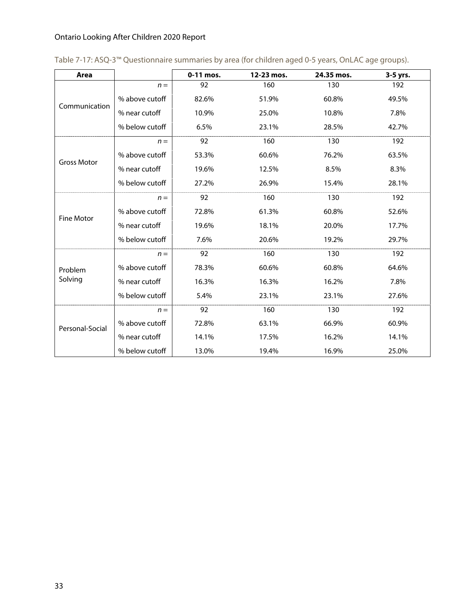| Area               |                | 0-11 mos. | 12-23 mos. | 24.35 mos. | 3-5 yrs. |
|--------------------|----------------|-----------|------------|------------|----------|
|                    | $n =$          | 92        | 160        | 130        | 192      |
| Communication      | % above cutoff | 82.6%     | 51.9%      | 60.8%      | 49.5%    |
|                    | % near cutoff  | 10.9%     | 25.0%      | 10.8%      | 7.8%     |
|                    | % below cutoff | 6.5%      | 23.1%      | 28.5%      | 42.7%    |
|                    | $n =$          | 92        | 160        | 130        | 192      |
| <b>Gross Motor</b> | % above cutoff | 53.3%     | 60.6%      | 76.2%      | 63.5%    |
|                    | % near cutoff  | 19.6%     | 12.5%      | 8.5%       | 8.3%     |
|                    | % below cutoff | 27.2%     | 26.9%      | 15.4%      | 28.1%    |
|                    | $n =$          | 92        | 160        | 130        | 192      |
|                    | % above cutoff | 72.8%     | 61.3%      | 60.8%      | 52.6%    |
| <b>Fine Motor</b>  | % near cutoff  | 19.6%     | 18.1%      | 20.0%      | 17.7%    |
|                    | % below cutoff | 7.6%      | 20.6%      | 19.2%      | 29.7%    |
|                    | $n =$          | 92        | 160        | 130        | 192      |
| Problem            | % above cutoff | 78.3%     | 60.6%      | 60.8%      | 64.6%    |
| Solving            | % near cutoff  | 16.3%     | 16.3%      | 16.2%      | 7.8%     |
|                    | % below cutoff | 5.4%      | 23.1%      | 23.1%      | 27.6%    |
|                    | $n =$          | 92        | 160        | 130        | 192      |
| Personal-Social    | % above cutoff | 72.8%     | 63.1%      | 66.9%      | 60.9%    |
|                    | % near cutoff  | 14.1%     | 17.5%      | 16.2%      | 14.1%    |
|                    | % below cutoff | 13.0%     | 19.4%      | 16.9%      | 25.0%    |

| Table 7-17: ASQ-3™ Questionnaire summaries by area (for children aged 0-5 years, OnLAC age groups). |  |  |  |  |  |  |  |
|-----------------------------------------------------------------------------------------------------|--|--|--|--|--|--|--|
|-----------------------------------------------------------------------------------------------------|--|--|--|--|--|--|--|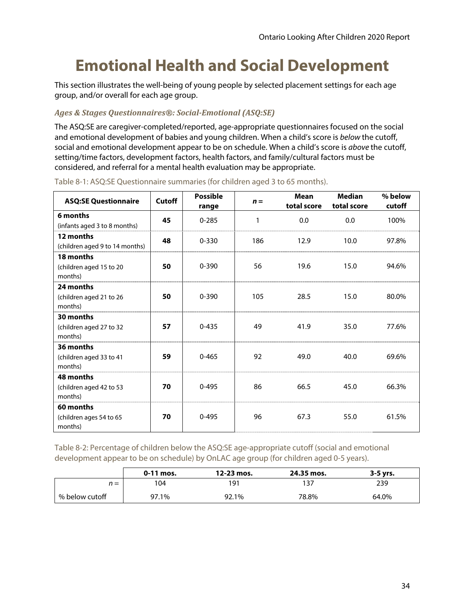### **Emotional Health and Social Development**

This section illustrates the well-being of young people by selected placement settings for each age group, and/or overall for each age group.

#### *Ages & Stages Questionnaires®: Social‐Emotional (ASQ:SE)*

The ASQ:SE are caregiver-completed/reported, age-appropriate questionnaires focused on the social and emotional development of babies and young children. When a child's score is below the cutoff, social and emotional development appear to be on schedule. When a child's score is above the cutoff, setting/time factors, development factors, health factors, and family/cultural factors must be considered, and referral for a mental health evaluation may be appropriate.

| <b>ASQ:SE Questionnaire</b>                     | Cutoff | <b>Possible</b><br>range | $n =$ | <b>Mean</b><br>total score | <b>Median</b><br>total score | % below<br>cutoff |
|-------------------------------------------------|--------|--------------------------|-------|----------------------------|------------------------------|-------------------|
| 6 months<br>(infants aged 3 to 8 months)        | 45     | $0 - 285$                | 1     | 0.0                        | 0.0                          | 100%              |
| 12 months<br>(children aged 9 to 14 months)     | 48     | $0 - 330$                | 186   | 12.9                       | 10.0                         | 97.8%             |
| 18 months<br>(children aged 15 to 20<br>months) | 50     | $0 - 390$                | 56    | 19.6                       | 15.0                         | 94.6%             |
| 24 months<br>(children aged 21 to 26<br>months) | 50     | $0 - 390$                | 105   | 28.5                       | 15.0                         | 80.0%             |
| 30 months<br>(children aged 27 to 32<br>months) | 57     | $0 - 435$                | 49    | 41.9                       | 35.0                         | 77.6%             |
| 36 months<br>(children aged 33 to 41<br>months) | 59     | $0 - 465$                | 92    | 49.0                       | 40.0                         | 69.6%             |
| 48 months<br>(children aged 42 to 53<br>months) | 70     | $0 - 495$                | 86    | 66.5                       | 45.0                         | 66.3%             |
| 60 months<br>(children ages 54 to 65<br>months) | 70     | $0 - 495$                | 96    | 67.3                       | 55.0                         | 61.5%             |

Table 8-1: ASQ:SE Questionnaire summaries (for children aged 3 to 65 months).

Table 8-2: Percentage of children below the ASQ:SE age-appropriate cutoff (social and emotional development appear to be on schedule) by OnLAC age group (for children aged 0-5 years).

|                | $0-11$ mos. | 12-23 mos. | 24.35 mos. | $3-5$ yrs. |
|----------------|-------------|------------|------------|------------|
| $n =$          | 104         | 191        | 137        | 239        |
| % below cutoff | 97.1%       | 92.1%      | 78.8%      | 64.0%      |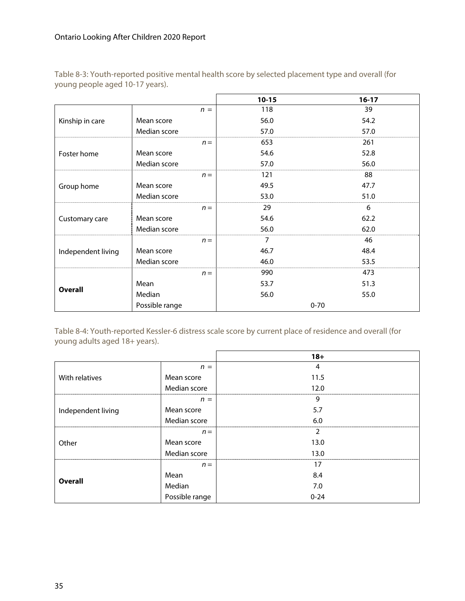| Table 8-3: Youth-reported positive mental health score by selected placement type and overall (for |  |
|----------------------------------------------------------------------------------------------------|--|
| young people aged 10-17 years).                                                                    |  |

|                    |                |       | $10 - 15$ | $16-17$  |
|--------------------|----------------|-------|-----------|----------|
|                    |                | $n =$ | 118       | 39       |
| Kinship in care    | Mean score     |       | 56.0      | 54.2     |
|                    | Median score   |       | 57.0      | 57.0     |
|                    |                | $n =$ | 653       | 261      |
| Foster home        | Mean score     |       | 54.6      | 52.8     |
|                    | Median score   |       | 57.0      | 56.0     |
|                    |                | $n =$ | 121       | 88       |
| Group home         | Mean score     |       | 49.5      | 47.7     |
|                    | Median score   |       | 53.0      | 51.0     |
|                    |                | $n =$ | 29        | 6        |
| Customary care     | Mean score     |       | 54.6      | 62.2     |
|                    | Median score   |       | 56.0      | 62.0     |
|                    |                | $n =$ | 7         | 46       |
| Independent living | Mean score     |       | 46.7      | 48.4     |
|                    | Median score   |       | 46.0      | 53.5     |
|                    |                | $n =$ | 990       | 473      |
|                    | Mean           |       | 53.7      | 51.3     |
| <b>Overall</b>     | Median         |       | 56.0      | 55.0     |
|                    | Possible range |       |           | $0 - 70$ |

Table 8-4: Youth-reported Kessler-6 distress scale score by current place of residence and overall (for young adults aged 18+ years).

|                    |                | $18 +$   |
|--------------------|----------------|----------|
|                    | $n =$          | 4        |
| With relatives     | Mean score     | 11.5     |
|                    | Median score   | 12.0     |
|                    | $n =$          | 9        |
| Independent living | Mean score     | 5.7      |
|                    | Median score   | 6.0      |
|                    | $n =$          | 2        |
| Other              | Mean score     | 13.0     |
|                    | Median score   | 13.0     |
|                    | $n =$          | 17       |
|                    | Mean           | 8.4      |
| <b>Overall</b>     | Median         | 7.0      |
|                    | Possible range | $0 - 24$ |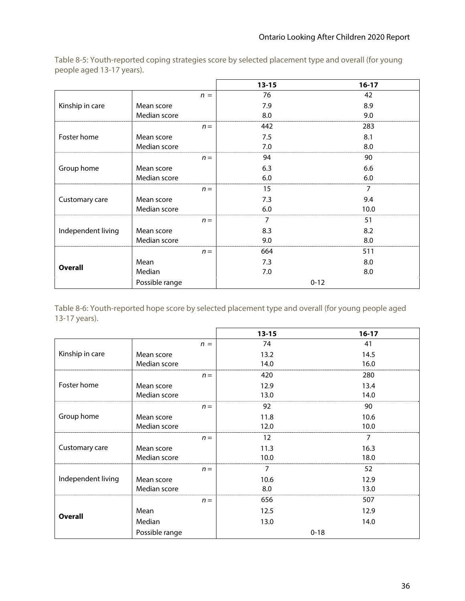|                    |                |       | $13 - 15$ | $16-17$  |
|--------------------|----------------|-------|-----------|----------|
|                    |                | $n =$ | 76        | 42       |
| Kinship in care    | Mean score     |       | 7.9       | 8.9      |
|                    | Median score   |       | 8.0       | 9.0      |
|                    |                | $n =$ | 442       | 283      |
| Foster home        | Mean score     |       | 7.5       | 8.1      |
|                    | Median score   |       | 7.0       | 8.0      |
|                    |                | $n =$ | 94        | 90       |
| Group home         | Mean score     |       | 6.3       | 6.6      |
|                    | Median score   |       | 6.0       | 6.0      |
|                    |                | $n =$ | 15        | 7        |
| Customary care     | Mean score     |       | 7.3       | 9.4      |
|                    | Median score   |       | 6.0       | 10.0     |
|                    |                | $n =$ | 7         | 51       |
| Independent living | Mean score     |       | 8.3       | 8.2      |
|                    | Median score   |       | 9.0       | 8.0      |
|                    |                | $n =$ | 664       | 511      |
|                    | Mean           |       | 7.3       | 8.0      |
| <b>Overall</b>     | Median         |       | 7.0       | 8.0      |
|                    | Possible range |       |           | $0 - 12$ |

Table 8-5: Youth-reported coping strategies score by selected placement type and overall (for young people aged 13-17 years).

Table 8-6: Youth-reported hope score by selected placement type and overall (for young people aged 13-17 years).

|                    |                |       | $13 - 15$ | $16-17$  |
|--------------------|----------------|-------|-----------|----------|
|                    |                | $n =$ | 74        | 41       |
| Kinship in care    | Mean score     |       | 13.2      | 14.5     |
|                    | Median score   |       | 14.0      | 16.0     |
|                    |                | $n =$ | 420       | 280      |
| Foster home        | Mean score     |       | 12.9      | 13.4     |
|                    | Median score   |       | 13.0      | 14.0     |
|                    |                | $n =$ | 92        | 90       |
| Group home         | Mean score     |       | 11.8      | 10.6     |
|                    | Median score   |       | 12.0      | 10.0     |
|                    |                | $n =$ | 12        | 7        |
| Customary care     | Mean score     |       | 11.3      | 16.3     |
|                    | Median score   |       | 10.0      | 18.0     |
|                    |                | $n =$ | 7         | 52       |
| Independent living | Mean score     |       | 10.6      | 12.9     |
|                    | Median score   |       | 8.0       | 13.0     |
|                    |                | $n =$ | 656       | 507      |
|                    | Mean           |       | 12.5      | 12.9     |
| Overall            | Median         |       | 13.0      | 14.0     |
|                    | Possible range |       |           | $0 - 18$ |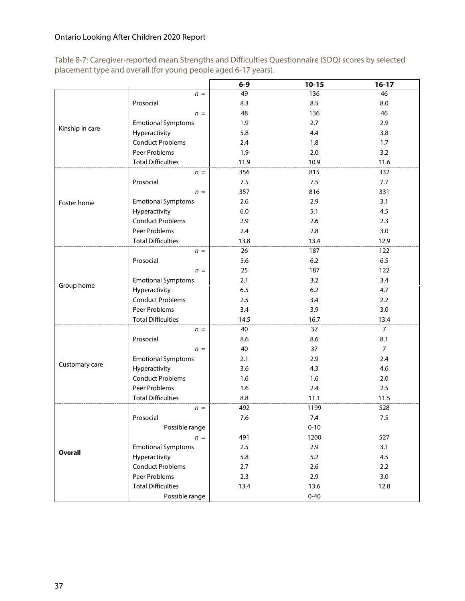Table 8-7: Caregiver-reported mean Strengths and Difficulties Questionnaire (SDQ) scores by selected placement type and overall (for young people aged 6-17 years).

|                 |                           | $6-9$   | $10 - 15$ | $16-17$        |
|-----------------|---------------------------|---------|-----------|----------------|
|                 | $n =$                     | 49      | 136       | 46             |
|                 | Prosocial                 | 8.3     | 8.5       | 8.0            |
|                 | $n =$                     | 48      | 136       | 46             |
|                 | <b>Emotional Symptoms</b> | 1.9     | 2.7       | 2.9            |
| Kinship in care | Hyperactivity             | 5.8     | 4.4       | 3.8            |
|                 | <b>Conduct Problems</b>   | 2.4     | 1.8       | 1.7            |
|                 | Peer Problems             | 1.9     | 2.0       | 3.2            |
|                 | <b>Total Difficulties</b> | 11.9    | 10.9      | 11.6           |
|                 | $n =$                     | 356     | 815       | 332            |
|                 | Prosocial                 | 7.5     | 7.5       | 7.7            |
|                 | $n =$                     | 357     | 816       | 331            |
| Foster home     | <b>Emotional Symptoms</b> | 2.6     | 2.9       | 3.1            |
|                 | Hyperactivity             | 6.0     | 5.1       | 4.5            |
|                 | <b>Conduct Problems</b>   | 2.9     | 2.6       | 2.3            |
|                 | Peer Problems             | 2.4     | 2.8       | 3.0            |
|                 | <b>Total Difficulties</b> | 13.8    | 13.4      | 12.9           |
|                 | $n =$                     | 26      | 187       | 122            |
|                 | Prosocial                 | 5.6     | 6.2       | 6.5            |
|                 | $n =$                     | 25      | 187       | 122            |
|                 | <b>Emotional Symptoms</b> | 2.1     | 3.2       | 3.4            |
| Group home      | Hyperactivity             | 6.5     | 6.2       | 4.7            |
|                 | <b>Conduct Problems</b>   | 2.5     | 3.4       | 2.2            |
|                 | Peer Problems             | 3.4     | 3.9       | 3.0            |
|                 | <b>Total Difficulties</b> | 14.5    | 16.7      | 13.4           |
|                 | $n =$                     | 40      | 37        | 7              |
|                 | Prosocial                 | 8.6     | 8.6       | 8.1            |
|                 | $n =$                     | 40      | 37        | $\overline{7}$ |
|                 | <b>Emotional Symptoms</b> | 2.1     | 2.9       | 2.4            |
| Customary care  | Hyperactivity             | 3.6     | 4.3       | 4.6            |
|                 | <b>Conduct Problems</b>   | 1.6     | 1.6       | 2.0            |
|                 | Peer Problems             | 1.6     | 2.4       | 2.5            |
|                 | <b>Total Difficulties</b> | 8.8     | 11.1      | 11.5           |
|                 | $n =$                     | 492     | 1199      | 528            |
|                 | Prosocial                 | $7.6\,$ | 7.4       | $7.5\,$        |
|                 | Possible range            |         | $0 - 10$  |                |
|                 | $n =$                     | 491     | 1200      | 527            |
|                 | <b>Emotional Symptoms</b> | 2.5     | 2.9       | 3.1            |
| <b>Overall</b>  | Hyperactivity             | 5.8     | 5.2       | 4.5            |
|                 | <b>Conduct Problems</b>   | 2.7     | 2.6       | 2.2            |
|                 | Peer Problems             | 2.3     | 2.9       | 3.0            |
|                 | <b>Total Difficulties</b> | 13.4    | 13.6      | 12.8           |
|                 | Possible range            |         | $0 - 40$  |                |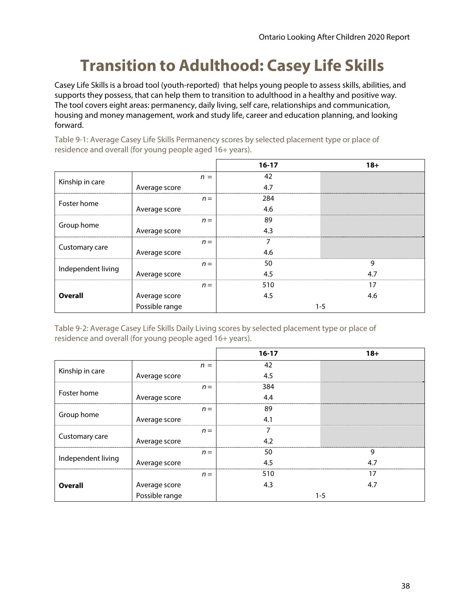# **Transition to Adulthood: Casey Life Skills**

Casey Life Skills is a broad tool (youth-reported) that helps young people to assess skills, abilities, and supports they possess, that can help them to transition to adulthood in a healthy and positive way. The tool covers eight areas: permanency, daily living, self care, relationships and communication, housing and money management, work and study life, career and education planning, and looking forward.

Table 9-1: Average Casey Life Skills Permanency scores by selected placement type or place of residence and overall (for young people aged 16+ years).

|                    |                |       | $16-17$ | $18 +$  |
|--------------------|----------------|-------|---------|---------|
| Kinship in care    |                | $n =$ | 42      |         |
|                    | Average score  |       | 4.7     |         |
| Foster home        |                | $n =$ | 284     |         |
|                    | Average score  |       | 4.6     |         |
| Group home         |                | $n =$ | 89      |         |
|                    | Average score  |       | 4.3     |         |
| Customary care     |                | $n =$ |         |         |
|                    | Average score  |       | 4.6     |         |
| Independent living |                | $n =$ | 50      | 9       |
|                    | Average score  |       | 4.5     | 4.7     |
| <b>Overall</b>     |                | $n =$ | 510     | 17      |
|                    | Average score  |       | 4.5     | 4.6     |
|                    | Possible range |       |         | $1 - 5$ |

Table 9-2: Average Casey Life Skills Daily Living scores by selected placement type or place of residence and overall (for young people aged 16+ years).

|                    |                | $16-17$      | $18 +$  |  |
|--------------------|----------------|--------------|---------|--|
|                    | $n =$          | 42           |         |  |
| Kinship in care    | Average score  | 4.5          |         |  |
|                    |                | 384<br>$n =$ |         |  |
| Foster home        | Average score  | 4.4          |         |  |
|                    |                | 89<br>$n =$  |         |  |
| Group home         | Average score  | 4.1          |         |  |
|                    |                | $n =$        |         |  |
| Customary care     | Average score  | 4.2          |         |  |
|                    |                | 50<br>$n =$  | 9       |  |
| Independent living | Average score  | 4.5          | 4.7     |  |
|                    |                | 510<br>$n =$ | 17      |  |
| <b>Overall</b>     | Average score  | 4.3          | 4.7     |  |
|                    | Possible range |              | $1 - 5$ |  |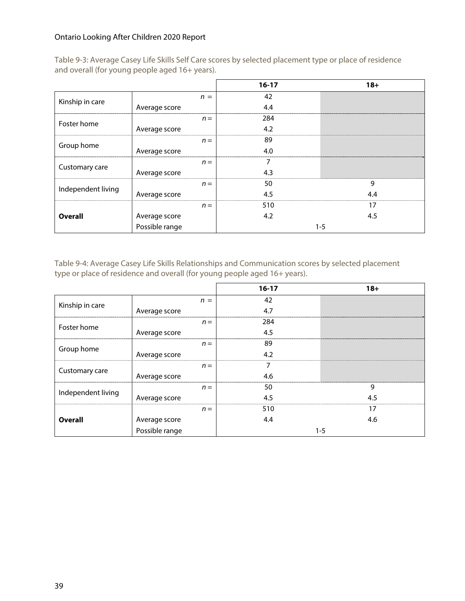Table 9-3: Average Casey Life Skills Self Care scores by selected placement type or place of residence and overall (for young people aged 16+ years).

|                    |                |       | $16-17$ | $18+$   |
|--------------------|----------------|-------|---------|---------|
| Kinship in care    |                | $n =$ | 42      |         |
|                    | Average score  |       | 4.4     |         |
| Foster home        |                | $n =$ | 284     |         |
|                    | Average score  |       | 4.2     |         |
| Group home         |                | $n =$ | 89      |         |
|                    | Average score  |       | 4.0     |         |
| Customary care     |                | $n =$ |         |         |
|                    | Average score  |       | 4.3     |         |
| Independent living |                | $n =$ | 50      | 9       |
|                    | Average score  |       | 4.5     | 4.4     |
|                    |                | $n =$ | 510     | 17      |
| <b>Overall</b>     | Average score  |       | 4.2     | 4.5     |
|                    | Possible range |       |         | $1 - 5$ |

Table 9-4: Average Casey Life Skills Relationships and Communication scores by selected placement type or place of residence and overall (for young people aged 16+ years).

|                    |                | $16-17$ | $18 +$  |
|--------------------|----------------|---------|---------|
| Kinship in care    | $n =$          | 42      |         |
|                    | Average score  | 4.7     |         |
| Foster home        | $n =$          | 284     |         |
|                    | Average score  | 4.5     |         |
| Group home         | $n =$          | 89      |         |
|                    | Average score  | 4.2     |         |
| Customary care     | $n =$          |         |         |
|                    | Average score  | 4.6     |         |
| Independent living | $n =$          | 50      | 9       |
|                    | Average score  | 4.5     | 4.5     |
|                    | $n =$          | 510     | 17      |
| <b>Overall</b>     | Average score  | 4.4     | 4.6     |
|                    | Possible range |         | $1 - 5$ |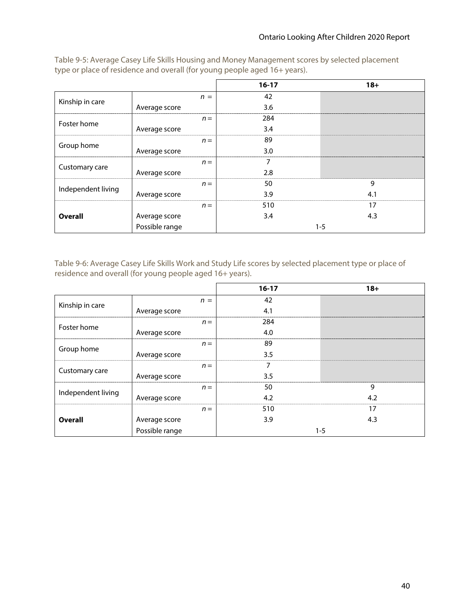|                    |                |       | $16-17$ | $18 +$  |
|--------------------|----------------|-------|---------|---------|
| Kinship in care    |                | $n =$ | 42      |         |
|                    | Average score  |       | 3.6     |         |
| Foster home        |                | $n =$ | 284     |         |
|                    | Average score  |       | 3.4     |         |
| Group home         |                | $n =$ | 89      |         |
|                    | Average score  |       | 3.0     |         |
| Customary care     |                | $n =$ |         |         |
|                    | Average score  |       | 2.8     |         |
| Independent living |                | $n =$ | 50      | 9       |
|                    | Average score  |       | 3.9     | 4.1     |
|                    |                | $n =$ | 510     | 17      |
| <b>Overall</b>     | Average score  |       | 3.4     | 4.3     |
|                    | Possible range |       |         | $1 - 5$ |

Table 9-5: Average Casey Life Skills Housing and Money Management scores by selected placement type or place of residence and overall (for young people aged 16+ years).

Table 9-6: Average Casey Life Skills Work and Study Life scores by selected placement type or place of residence and overall (for young people aged 16+ years).

|                    |                | $16-17$ | $18+$   |
|--------------------|----------------|---------|---------|
| Kinship in care    | $n =$          | 42      |         |
|                    | Average score  | 4.1     |         |
| Foster home        | $n =$          | 284     |         |
|                    | Average score  | 4.0     |         |
| Group home         | $n =$          | 89      |         |
|                    | Average score  | 3.5     |         |
| Customary care     | $n =$          |         |         |
|                    | Average score  | 3.5     |         |
| Independent living | $n =$          | 50      | 9       |
|                    | Average score  | 4.2     | 4.2     |
|                    | $n =$          | 510     | 17      |
| <b>Overall</b>     | Average score  | 3.9     | 4.3     |
|                    | Possible range |         | $1 - 5$ |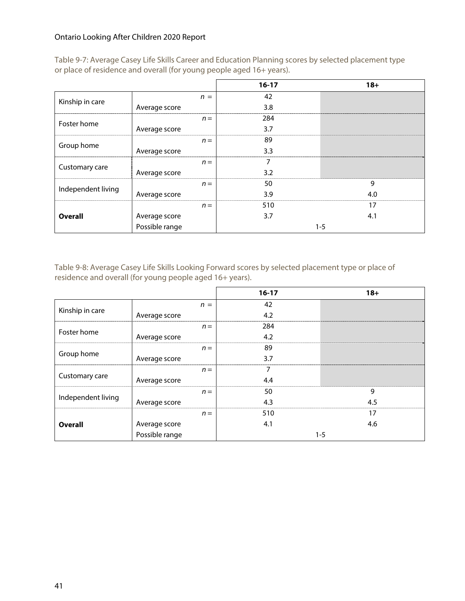Table 9-7: Average Casey Life Skills Career and Education Planning scores by selected placement type or place of residence and overall (for young people aged 16+ years).

|                    |                |       | $16-17$ | $18 +$  |
|--------------------|----------------|-------|---------|---------|
| Kinship in care    |                | $n =$ | 42      |         |
|                    | Average score  |       | 3.8     |         |
| Foster home        |                | $n =$ | 284     |         |
|                    | Average score  |       | 3.7     |         |
| Group home         |                | $n =$ | 89      |         |
|                    | Average score  |       | 3.3     |         |
| Customary care     |                | $n =$ |         |         |
|                    | Average score  |       | 3.2     |         |
| Independent living |                | $n =$ | 50      | 9       |
|                    | Average score  |       | 3.9     | 4.0     |
| <b>Overall</b>     |                | $n =$ | 510     | 17      |
|                    | Average score  |       | 3.7     | 4.1     |
|                    | Possible range |       |         | $1 - 5$ |

Table 9-8: Average Casey Life Skills Looking Forward scores by selected placement type or place of residence and overall (for young people aged 16+ years).

|                    |                |       | $16 - 17$ | $18+$   |
|--------------------|----------------|-------|-----------|---------|
| Kinship in care    |                | $n =$ | 42        |         |
|                    | Average score  |       | 4.2       |         |
| Foster home        |                | $n =$ | 284       |         |
|                    | Average score  |       | 4.2       |         |
|                    |                | $n =$ | 89        |         |
| Group home         | Average score  |       | 3.7       |         |
| Customary care     |                | $n =$ |           |         |
|                    | Average score  |       | 4.4       |         |
| Independent living |                | $n =$ | 50        | 9       |
|                    | Average score  |       | 4.3       | 4.5     |
| <b>Overall</b>     |                | $n =$ | 510       | 17      |
|                    | Average score  |       | 4.1       | 4.6     |
|                    | Possible range |       |           | $1 - 5$ |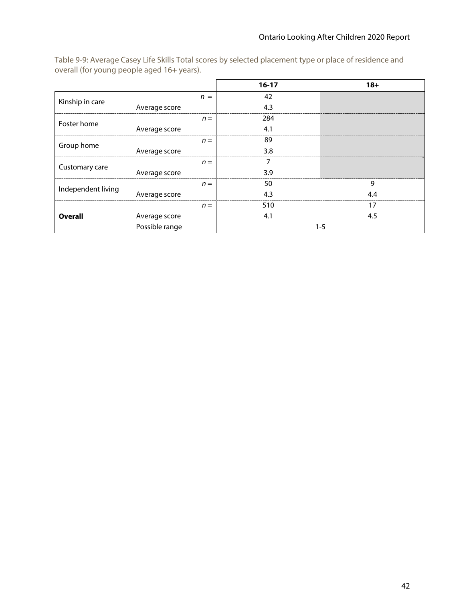|                    |                | $16-17$ | $18+$   |
|--------------------|----------------|---------|---------|
| Kinship in care    | $n =$          | 42      |         |
|                    | Average score  | 4.3     |         |
| Foster home        | $n =$          | 284     |         |
|                    | Average score  | 4.1     |         |
| Group home         | $n =$          | 89      |         |
|                    | Average score  | 3.8     |         |
| Customary care     | $n =$          |         |         |
|                    | Average score  | 3.9     |         |
| Independent living | $n =$          | 50      | 9       |
|                    | Average score  | 4.3     | 4.4     |
| <b>Overall</b>     | $n =$          | 510     | 17      |
|                    | Average score  | 4.1     | 4.5     |
|                    | Possible range |         | $1 - 5$ |

Table 9-9: Average Casey Life Skills Total scores by selected placement type or place of residence and overall (for young people aged 16+ years).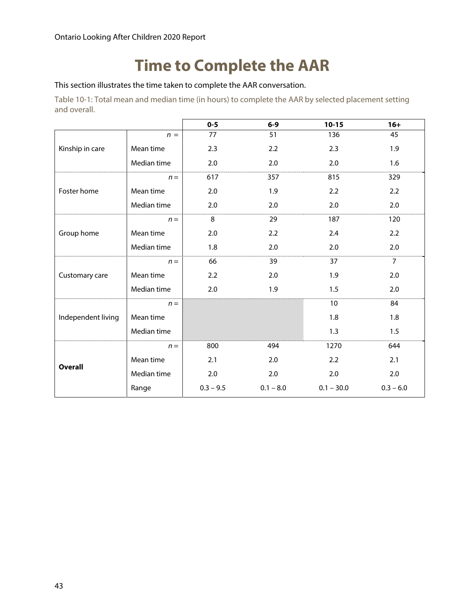### **Time to Complete the AAR**

This section illustrates the time taken to complete the AAR conversation.

Table 10-1: Total mean and median time (in hours) to complete the AAR by selected placement setting and overall.

|                    |             | $0 - 5$     | $6-9$       | $10 - 15$    | $16+$          |
|--------------------|-------------|-------------|-------------|--------------|----------------|
| Kinship in care    | $n =$       | 77          | 51          | 136          | 45             |
|                    | Mean time   | 2.3         | 2.2         | 2.3          | 1.9            |
|                    | Median time | $2.0\,$     | $2.0\,$     | 2.0          | 1.6            |
|                    | $n =$       | 617         | 357         | 815          | 329            |
| Foster home        | Mean time   | 2.0         | 1.9         | 2.2          | 2.2            |
|                    | Median time | 2.0         | 2.0         | 2.0          | 2.0            |
|                    | $n =$       | 8           | 29          | 187          | 120            |
| Group home         | Mean time   | 2.0         | 2.2         | 2.4          | 2.2            |
|                    | Median time | 1.8         | 2.0         | 2.0          | 2.0            |
| Customary care     | $n =$       | 66          | 39          | 37           | $\overline{7}$ |
|                    | Mean time   | 2.2         | 2.0         | 1.9          | 2.0            |
|                    | Median time | 2.0         | 1.9         | 1.5          | 2.0            |
| Independent living | $n =$       |             |             | 10           | 84             |
|                    | Mean time   |             |             | 1.8          | 1.8            |
|                    | Median time |             |             | 1.3          | 1.5            |
| <b>Overall</b>     | $n =$       | 800         | 494         | 1270         | 644            |
|                    | Mean time   | 2.1         | 2.0         | 2.2          | 2.1            |
|                    | Median time | 2.0         | 2.0         | 2.0          | 2.0            |
|                    | Range       | $0.3 - 9.5$ | $0.1 - 8.0$ | $0.1 - 30.0$ | $0.3 - 6.0$    |